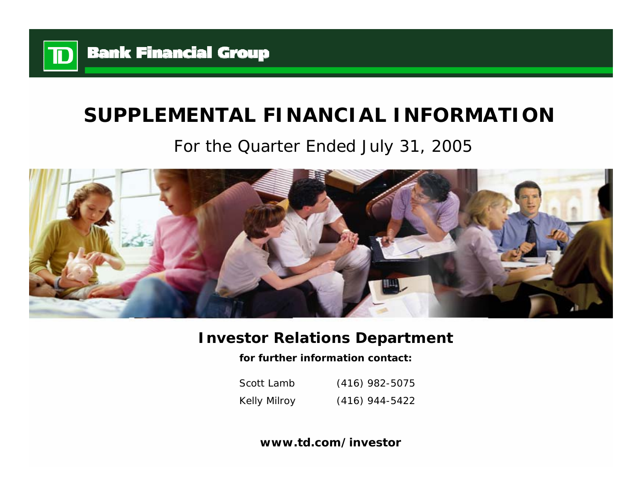

# **SUPPLEMENTAL FINANCIAL INFORMATION**

# For the Quarter Ended July 31, 2005



# **Investor Relations Department**

**for further information contact:**

Scott LambKelly Milroy (416) 982-5075 (416) 944-5422

**www.td.com/investor**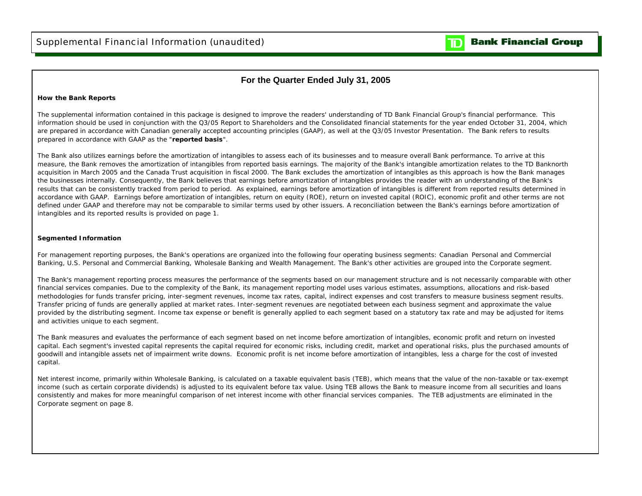$\mathbf{D}% _{T}=\mathbf{D}_{T}\!\left( \mathbf{1}_{T}% \mathbf{1}_{T}\mathbf{1}_{T}\mathbf{1}_{T}\mathbf{1}_{T}\mathbf{1}_{T}\mathbf{1}_{T}\mathbf{1}_{T}\mathbf{1}_{T}\mathbf{1}_{T}\mathbf{1}_{T}\mathbf{1}_{T}\mathbf{1}_{T}\mathbf{1}_{T}\mathbf{1}_{T}\mathbf{1}_{T}\mathbf{1}_{T}\mathbf{1}_{T}\mathbf{1}_{T}\mathbf{1}_{T}\mathbf{1}_{T}\mathbf{1}_{T}\mathbf{1}_{T}$ 

## **For the Quarter Ended July 31, 2005**

### **How the Bank Reports**

The supplemental information contained in this package is designed to improve the readers' understanding of TD Bank Financial Group's financial performance. This information should be used in conjunction with the Q3/05 Report to Shareholders and the Consolidated financial statements for the year ended October 31, 2004, which are prepared in accordance with Canadian generally accepted accounting principles (GAAP), as well at the Q3/05 Investor Presentation. The Bank refers to results prepared in accordance with GAAP as the "**reported basis**".

The Bank also utilizes earnings before the amortization of intangibles to assess each of its businesses and to measure overall Bank performance. To arrive at this measure, the Bank removes the amortization of intangibles from reported basis earnings. The majority of the Bank's intangible amortization relates to the TD Banknorth acquisition in March 2005 and the Canada Trust acquisition in fiscal 2000. The Bank excludes the amortization of intangibles as this approach is how the Bank manages the businesses internally. Consequently, the Bank believes that earnings before amortization of intangibles provides the reader with an understanding of the Bank's results that can be consistently tracked from period to period. As explained, earnings before amortization of intangibles is different from reported results determined in accordance with GAAP. Earnings before amortization of intangibles, return on equity (ROE), return on invested capital (ROIC), economic profit and other terms are not defined under GAAP and therefore may not be comparable to similar terms used by other issuers. A reconciliation between the Bank's earnings before amortization of intangibles and its reported results is provided on page 1.

### **Segmented Information**

For management reporting purposes, the Bank's operations are organized into the following four operating business segments: Canadian Personal and Commercial Banking, U.S. Personal and Commercial Banking, Wholesale Banking and Wealth Management. The Bank's other activities are grouped into the Corporate segment.

The Bank's management reporting process measures the performance of the segments based on our management structure and is not necessarily comparable with other financial services companies. Due to the complexity of the Bank, its management reporting model uses various estimates, assumptions, allocations and risk-based methodologies for funds transfer pricing, inter-segment revenues, income tax rates, capital, indirect expenses and cost transfers to measure business segment results. Transfer pricing of funds are generally applied at market rates. Inter-segment revenues are negotiated between each business segment and approximate the value provided by the distributing segment. Income tax expense or benefit is generally applied to each segment based on a statutory tax rate and may be adjusted for items and activities unique to each segment.

The Bank measures and evaluates the performance of each segment based on net income before amortization of intangibles, economic profit and return on invested capital. Each segment's invested capital represents the capital required for economic risks, including credit, market and operational risks, plus the purchased amounts of goodwill and intangible assets net of impairment write downs. Economic profit is net income before amortization of intangibles, less a charge for the cost of invested capital.

Net interest income, primarily within Wholesale Banking, is calculated on a taxable equivalent basis (TEB), which means that the value of the non-taxable or tax-exempt income (such as certain corporate dividends) is adjusted to its equivalent before tax value. Using TEB allows the Bank to measure income from all securities and loans consistently and makes for more meaningful comparison of net interest income with other financial services companies. The TEB adjustments are eliminated in the Corporate segment on page 8.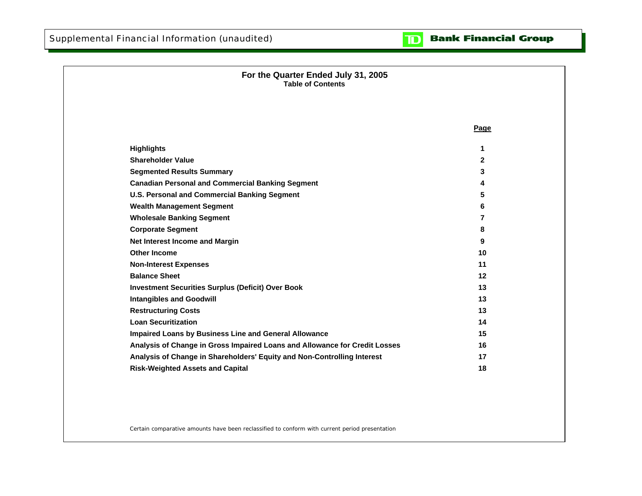### **Bank Financial Group**  $\mathbf{D}$

| For the Quarter Ended July 31, 2005<br><b>Table of Contents</b>            |              |
|----------------------------------------------------------------------------|--------------|
|                                                                            |              |
|                                                                            |              |
|                                                                            | Page         |
| <b>Highlights</b>                                                          | 1            |
| <b>Shareholder Value</b>                                                   | $\mathbf{2}$ |
| <b>Segmented Results Summary</b>                                           | 3            |
| <b>Canadian Personal and Commercial Banking Segment</b>                    | 4            |
| U.S. Personal and Commercial Banking Segment                               | 5            |
| <b>Wealth Management Segment</b>                                           | 6            |
| <b>Wholesale Banking Segment</b>                                           | 7            |
| <b>Corporate Segment</b>                                                   | 8            |
| Net Interest Income and Margin                                             | 9            |
| <b>Other Income</b>                                                        | 10           |
| <b>Non-Interest Expenses</b>                                               | 11           |
| <b>Balance Sheet</b>                                                       | 12           |
| <b>Investment Securities Surplus (Deficit) Over Book</b>                   | 13           |
| <b>Intangibles and Goodwill</b>                                            | 13           |
| <b>Restructuring Costs</b>                                                 | 13           |
| <b>Loan Securitization</b>                                                 | 14           |
| Impaired Loans by Business Line and General Allowance                      | 15           |
| Analysis of Change in Gross Impaired Loans and Allowance for Credit Losses | 16           |
| Analysis of Change in Shareholders' Equity and Non-Controlling Interest    | 17           |
| <b>Risk-Weighted Assets and Capital</b>                                    | 18           |

Certain comparative amounts have been reclassified to conform with current period presentation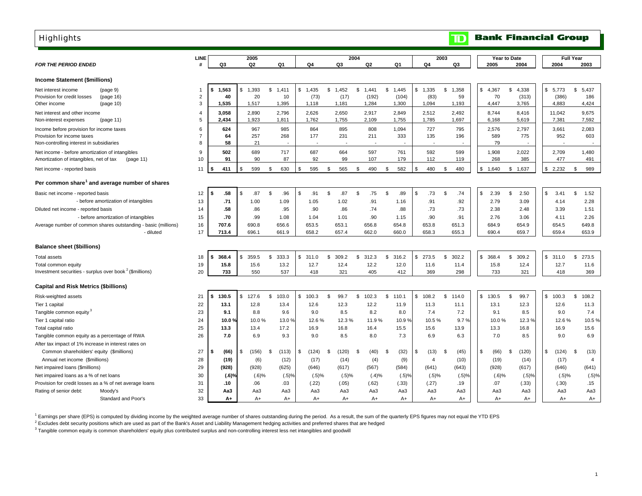<span id="page-3-0"></span>

| <b>Highlights</b>                                                                                                  |                                    |                            |                            |                            |                          |                          |                               |                               |                              | $\mathbf \mathbf D$        |                            | <b>Bank Financial Group</b>   |                               |                             |
|--------------------------------------------------------------------------------------------------------------------|------------------------------------|----------------------------|----------------------------|----------------------------|--------------------------|--------------------------|-------------------------------|-------------------------------|------------------------------|----------------------------|----------------------------|-------------------------------|-------------------------------|-----------------------------|
| <b>FOR THE PERIOD ENDED</b>                                                                                        | LINE<br>$\boldsymbol{\mathcal{H}}$ | Q3                         | 2005<br>Q <sub>2</sub>     | Q1                         | Q4                       | Q <sub>3</sub>           | 2004<br>Q <sub>2</sub>        | Q1                            | Q <sub>4</sub>               | 2003<br>Q3                 | 2005                       | Year to Date<br>2004          | 2004                          | <b>Full Year</b><br>2003    |
| <b>Income Statement (\$millions)</b>                                                                               |                                    |                            |                            |                            |                          |                          |                               |                               |                              |                            |                            |                               |                               |                             |
| Net interest income<br>(page 9)<br>Provision for credit losses<br>(page 16)<br>Other income<br>(page 10)           | -1<br>$\overline{2}$<br>3          | 1.563<br>\$<br>40<br>1,535 | 1,393<br>\$<br>20<br>1,517 | \$<br>1.411<br>10<br>1,395 | \$1,435<br>(73)<br>1,118 | \$1,452<br>(17)<br>1,181 | \$<br>1.441<br>(192)<br>1,284 | \$<br>1.445<br>(104)<br>1,300 | \$<br>1,335<br>(83)<br>1,094 | \$<br>1,358<br>59<br>1,193 | \$<br>4,367<br>70<br>4,447 | \$<br>4.338<br>(313)<br>3,765 | \$<br>5,773<br>(386)<br>4,883 | \$<br>5,437<br>186<br>4,424 |
| Net interest and other income<br>Non-interest expenses<br>(page 11)                                                | $\overline{4}$<br>5                | 3,058<br>2,434             | 2,890<br>1.923             | 2,796<br>1,811             | 2,626<br>1,762           | 2,650<br>1,755           | 2,917<br>2,109                | 2,849<br>1,755                | 2,512<br>1,785               | 2,492<br>1,697             | 8,744<br>6,168             | 8,416<br>5,619                | 11,042<br>7,381               | 9,675<br>7,592              |
| Income before provision for income taxes<br>Provision for income taxes<br>Non-controlling interest in subsidiaries | 6<br>$\overline{7}$<br>8           | 624<br>64<br>58            | 967<br>257<br>21           | 985<br>268                 | 864<br>177               | 895<br>231               | 808<br>211                    | 1,094<br>333                  | 727<br>135                   | 795<br>196                 | 2,576<br>589<br>79         | 2,797<br>775                  | 3,661<br>952                  | 2,083<br>603                |
| Net income - before amortization of intangibles<br>Amortization of intangibles, net of tax<br>(page 11)            | 9<br>10                            | 502<br>91                  | 689<br>90                  | 717<br>87                  | 687<br>92                | 664<br>99                | 597<br>107                    | 761<br>179                    | 592<br>112                   | 599<br>119                 | 1,908<br>268               | 2,022<br>385                  | 2,709<br>477                  | 1,480<br>491                |
| Net income - reported basis                                                                                        | 11                                 | 411                        | \$<br>599                  | 630<br>\$                  | \$<br>595                | \$<br>565                | \$<br>490                     | 582<br>-\$                    | \$<br>480                    | 480<br>\$                  | \$1,640                    | 1,637<br>\$                   | \$<br>2,232                   | 989<br>- \$                 |
| Per common share <sup>1</sup> and average number of shares                                                         |                                    |                            |                            |                            |                          |                          |                               |                               |                              |                            |                            |                               |                               |                             |
| Basic net income - reported basis                                                                                  | 12                                 | .58<br>\$                  | \$<br>.87                  | \$<br>.96                  | \$<br>.91                | \$<br>.87                | \$<br>.75                     | \$<br>.89                     | \$<br>.73                    | \$<br>.74                  | \$<br>2.39                 | 2.50<br>\$                    | \$<br>3.41                    | \$<br>1.52                  |
| - before amortization of intangibles<br>Diluted net income - reported basis                                        | 13<br>14                           | .71<br>.58                 | 1.00<br>.86                | 1.09<br>.95                | 1.05<br>.90              | 1.02<br>.86              | .91<br>.74                    | 1.16<br>.88                   | .91<br>.73                   | .92<br>.73                 | 2.79<br>2.38               | 3.09<br>2.48                  | 4.14<br>3.39                  | 2.28<br>1.51                |
| - before amortization of intangibles                                                                               | 15                                 | .70                        | .99                        | 1.08                       | 1.04                     | 1.01                     | .90                           | 1.15                          | .90                          | .91                        | 2.76                       | 3.06                          | 4.11                          | 2.26                        |
| Average number of common shares outstanding - basic (millions)                                                     | 16                                 | 707.6                      | 690.8                      | 656.6                      | 653.5                    | 653.1                    | 656.8                         | 654.8                         | 653.8                        | 651.3                      | 684.9                      | 654.9                         | 654.5                         | 649.8                       |
| - diluted                                                                                                          | 17                                 | 713.4                      | 696.1                      | 661.9                      | 658.2                    | 657.4                    | 662.0                         | 660.0                         | 658.3                        | 655.3                      | 690.4                      | 659.7                         | 659.4                         | 653.9                       |
| <b>Balance sheet (\$billions)</b>                                                                                  |                                    |                            |                            |                            |                          |                          |                               |                               |                              |                            |                            |                               |                               |                             |
| <b>Total assets</b>                                                                                                | 18                                 | 368.4<br>\$                | \$.<br>359.5               | \$<br>333.3                | \$<br>311.0              | \$<br>309.2              | \$<br>312.3                   | \$<br>316.2                   | \$<br>273.5                  | 302.2<br>\$                | \$<br>368.4                | \$<br>309.2                   | \$<br>311.0                   | \$<br>273.5                 |
| Total common equity                                                                                                | 19                                 | 15.8                       | 15.6                       | 13.2                       | 12.7                     | 12.4                     | 12.2                          | 12.0                          | 11.6                         | 11.4                       | 15.8                       | 12.4                          | 12.7                          | 11.6                        |
| Investment securities - surplus over book <sup>2</sup> (\$millions)                                                | 20                                 | 733                        | 550                        | 537                        | 418                      | 321                      | 405                           | 412                           | 369                          | 298                        | 733                        | 321                           | 418                           | 369                         |
| <b>Capital and Risk Metrics (\$billions)</b>                                                                       |                                    |                            |                            |                            |                          |                          |                               |                               |                              |                            |                            |                               |                               |                             |
| Risk-weighted assets                                                                                               | 21                                 | 130.5<br>\$                | \$<br>127.6                | \$<br>103.0                | \$<br>100.3              | 99.7<br>\$               | \$<br>102.3                   | \$<br>110.1                   | \$<br>108.2                  | \$<br>114.0                | \$130.5                    | \$<br>99.7                    | \$<br>100.3                   | 108.2<br>\$                 |
| Tier 1 capital                                                                                                     | 22                                 | 13.1                       | 12.8                       | 13.4                       | 12.6                     | 12.3                     | 12.2                          | 11.9                          | 11.3                         | 11.1                       | 13.1                       | 12.3                          | 12.6                          | 11.3                        |
| Tangible common equity <sup>3</sup>                                                                                | 23                                 | 9.1                        | 8.8                        | 9.6                        | 9.0                      | 8.5                      | 8.2                           | 8.0                           | 7.4                          | 7.2                        | 9.1                        | 8.5                           | 9.0                           | 7.4                         |
| Tier 1 capital ratio                                                                                               | 24                                 | 10.0 <sub>1</sub>          | 10.0%                      | 13.0 %                     | 12.6%                    | 12.3%                    | 11.9%                         | 10.9%                         | 10.5%                        | 9.7%                       | 10.0%                      | 12.3 <sub>9</sub>             | 12.6%                         | 10.5%                       |
| Total capital ratio                                                                                                | 25                                 | 13.3                       | 13.4                       | 17.2                       | 16.9                     | 16.8                     | 16.4                          | 15.5                          | 15.6                         | 13.9                       | 13.3                       | 16.8                          | 16.9                          | 15.6                        |
| Tangible common equity as a percentage of RWA                                                                      | 26                                 | 7.0                        | 6.9                        | 9.3                        | 9.0                      | 8.5                      | 8.0                           | 7.3                           | 6.9                          | 6.3                        | 7.0                        | 8.5                           | 9.0                           | 6.9                         |
| After tax impact of 1% increase in interest rates on                                                               |                                    |                            |                            |                            |                          |                          |                               |                               |                              |                            |                            |                               |                               |                             |
| Common shareholders' equity (\$millions)                                                                           | 27                                 | (66)<br>\$                 | (156)<br>\$                | (113)<br>\$                | \$<br>(124)              | \$<br>(120)              | (40)<br>\$                    | (32)<br>\$                    | (13)<br>\$                   | (45)<br>\$                 | \$<br>(66)                 | (120)<br>S                    | \$<br>(124)                   | (13)<br>- \$                |
| Annual net income (\$millions)                                                                                     | 28                                 | (19)                       | (6)                        | (12)                       | (17)                     | (14)                     | (4)                           | (9)                           | $\overline{4}$               | (10)                       | (19)                       | (14)                          | (17)                          | $\overline{4}$              |
| Net impaired loans (\$millions)                                                                                    | 29                                 | (928)                      | (928)                      | (625)                      | (646)                    | (617)                    | (567)                         | (584)                         | (641)                        | (643)                      | (928)                      | (617)                         | (646)                         | (641)                       |
| Net impaired loans as a % of net loans                                                                             | 30                                 | $(.6)$ <sup>9</sup>        | $(.6)$ %                   | (.5)%                      | (.5)%                    | (.5)%                    | (.4)%                         | (.5)%                         | (.5)%                        | (.5)%                      |                            | $(.6)$ %<br>(.5)%             | (.5)%                         | (.5)%                       |
| Provision for credit losses as a % of net average loans                                                            | 31                                 | .10                        | .06                        | .03                        | (.22)                    | (.05)                    | (.62)                         | (.33)                         | (.27)                        | .19                        | .07                        | (.33)                         | (.30)                         | .15                         |
| Rating of senior debt:<br>Moody's                                                                                  | 32                                 | АаЗ                        | Aa3                        | Aa3                        | Aa3                      | Aa3                      | Aa3                           | Aa3                           | Aa3                          | Aa3                        | Aa3                        | АаЗ                           | Aa3                           | Aa3                         |
| Standard and Poor's                                                                                                | 33                                 | $A+$                       | $A+$                       | $A+$                       | $A+$                     | $A+$                     | $A+$                          | $A+$                          | $A+$                         | $A+$                       | $A+$                       | $A+$                          | $A+$                          | $A+$                        |

<sup>1</sup> Earnings per share (EPS) is computed by dividing income by the weighted average number of shares outstanding during the period. As a result, the sum of the quarterly EPS figures may not equal the YTD EPS

 $^2$  Excludes debt security positions which are used as part of the Bank's Asset and Liability Management hedging activities and preferred shares that are hedged

<sup>3</sup> Tangible common equity is common shareholders' equity plus contributed surplus and non-controlling interest less net intangibles and goodwill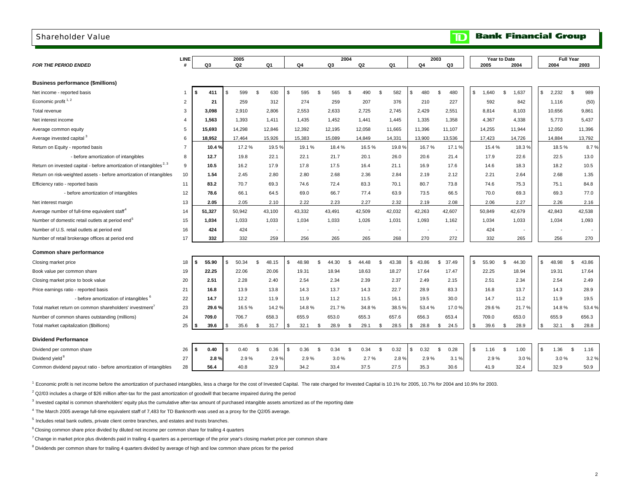### <span id="page-4-0"></span>Shareholder Value

|  |  | <b>TD</b> Bank Financial Group |
|--|--|--------------------------------|
|--|--|--------------------------------|

|                                                                                 | <b>LINE</b>    |    |        |                | 2005           |                |                |                          |                          | 2004 |                          |      |                          |                          | 2003        |    | Year to Date |                          |              | <b>Full Year</b> |             |
|---------------------------------------------------------------------------------|----------------|----|--------|----------------|----------------|----------------|----------------|--------------------------|--------------------------|------|--------------------------|------|--------------------------|--------------------------|-------------|----|--------------|--------------------------|--------------|------------------|-------------|
| <b>FOR THE PERIOD ENDED</b>                                                     |                |    | Q3     |                | Q <sub>2</sub> |                | Q <sub>1</sub> | Q <sub>4</sub>           | Q3                       |      | Q <sub>2</sub>           |      | Q <sub>1</sub>           | Q4                       | Q3          |    | 2005         | 2004                     |              | 2004             | 2003        |
|                                                                                 |                |    |        |                |                |                |                |                          |                          |      |                          |      |                          |                          |             |    |              |                          |              |                  |             |
| <b>Business performance (\$millions)</b>                                        |                |    |        |                |                |                |                |                          |                          |      |                          |      |                          |                          |             |    |              |                          |              |                  |             |
| Net income - reported basis                                                     | $\overline{1}$ | s. | 411    | $\mathfrak{L}$ | 599            | \$             | 630            | \$<br>595                | \$<br>565                | \$   | 490                      | \$   | 582                      | 480<br>\$                | 480<br>\$   | S. | 1,640        | \$<br>1,637              | \$           | 2,232            | \$<br>989   |
| Economic profit $1, 2$                                                          | $\overline{2}$ |    | 21     |                | 259            |                | 312            | 274                      | 259                      |      | 207                      |      | 376                      | 210                      | 227         |    | 592          | 842                      |              | 1,116            | (50)        |
| Total revenue                                                                   | 3              |    | 3.098  |                | 2.910          |                | 2.806          | 2.553                    | 2.633                    |      | 2,725                    |      | 2,745                    | 2,429                    | 2,551       |    | 8.814        | 8,103                    |              | 10,656           | 9,861       |
| Net interest income                                                             | $\overline{4}$ |    | 1,563  |                | 1,393          |                | 1,411          | 1,435                    | 1,452                    |      | 1,441                    |      | 1,445                    | 1,335                    | 1,358       |    | 4,367        | 4,338                    |              | 5.773            | 5,437       |
| Average common equity                                                           | 5              |    | 15,693 |                | 14,298         |                | 12,846         | 12,392                   | 12,195                   |      | 12,058                   |      | 11,665                   | 11,396                   | 11,107      |    | 14,255       | 11,944                   |              | 12,050           | 11,396      |
| Average invested capital <sup>3</sup>                                           | 6              |    | 18,952 |                | 17,464         |                | 15,926         | 15,383                   | 15,089                   |      | 14,849                   |      | 14,331                   | 13,900                   | 13,536      |    | 17,423       | 14,726                   |              | 14,884           | 13,792      |
| Return on Equity - reported basis                                               | $\overline{7}$ |    | 10.4%  |                | 17.2%          |                | 19.5%          | 19.1%                    | 18.4%                    |      | 16.5%                    |      | 19.8%                    | 16.7%                    | 17.1 %      |    | 15.4%        | 18.3%                    |              | 18.5%            | 8.7%        |
| - before amortization of intangibles                                            | 8              |    | 12.7   |                | 19.8           |                | 22.1           | 22.1                     | 21.7                     |      | 20.1                     |      | 26.0                     | 20.6                     | 21.4        |    | 17.9         | 22.6                     |              | 22.5             | 13.0        |
| Return on invested capital - before amortization of intangibles <sup>2, 3</sup> | 9              |    | 10.5   |                | 16.2           |                | 17.9           | 17.8                     | 17.5                     |      | 16.4                     |      | 21.1                     | 16.9                     | 17.6        |    | 14.6         | 18.3                     |              | 18.2             | 10.5        |
| Return on risk-weighted assets - before amortization of intangibles             | 10             |    | 1.54   |                | 2.45           |                | 2.80           | 2.80                     | 2.68                     |      | 2.36                     |      | 2.84                     | 2.19                     | 2.12        |    | 2.21         | 2.64                     |              | 2.68             | 1.35        |
| Efficiency ratio - reported basis                                               | 11             |    | 83.2   |                | 70.7           |                | 69.3           | 74.6                     | 72.4                     |      | 83.3                     |      | 70.1                     | 80.7                     | 73.8        |    | 74.6         | 75.3                     |              | 75.1             | 84.8        |
| - before amortization of intangibles                                            | 12             |    | 78.6   |                | 66.1           |                | 64.5           | 69.0                     | 66.7                     |      | 77.4                     |      | 63.9                     | 73.5                     | 66.5        |    | 70.0         | 69.3                     |              | 69.3             | 77.0        |
| Net interest margin                                                             | 13             |    | 2.05   |                | 2.05           |                | 2.10           | 2.22                     | 2.23                     |      | 2.27                     |      | 2.32                     | 2.19                     | 2.08        |    | 2.06         | 2.27                     |              | 2.26             | 2.16        |
| Average number of full-time equivalent staff <sup>4</sup>                       | 14             |    | 51,327 |                | 50,942         |                | 43,100         | 43,332                   | 43,491                   |      | 42,509                   |      | 42,032                   | 42,263                   | 42,607      |    | 50,849       | 42,679                   |              | 42,843           | 42,538      |
| Number of domestic retail outlets at period end <sup>5</sup>                    | 15             |    | 1.034  |                | 1,033          |                | 1,033          | 1,034                    | 1,033                    |      | 1,026                    |      | 1,031                    | 1,093                    | 1,162       |    | 1,034        | 1,033                    |              | 1,034            | 1,093       |
| Number of U.S. retail outlets at period end                                     | 16             |    | 424    |                | 424            |                | $\blacksquare$ | $\overline{\phantom{a}}$ | $\overline{\phantom{a}}$ |      | $\overline{\phantom{a}}$ |      | $\overline{\phantom{a}}$ | $\overline{\phantom{a}}$ |             |    | 424          | $\overline{\phantom{a}}$ |              |                  |             |
| Number of retail brokerage offices at period end                                | 17             |    | 332    |                | 332            |                | 259            | 256                      | 265                      |      | 265                      |      | 268                      | 270                      | 272         |    | 332          | 265                      |              | 256              | 270         |
| Common share performance                                                        |                |    |        |                |                |                |                |                          |                          |      |                          |      |                          |                          |             |    |              |                          |              |                  |             |
|                                                                                 |                |    |        |                |                |                |                |                          |                          |      |                          |      |                          |                          |             |    |              |                          |              |                  |             |
| Closing market price                                                            | 18             |    | 55.90  |                | 50.34          | $\mathfrak{L}$ | 48.15          | \$<br>48.98              | \$<br>44.30              | \$   | 44.48                    | S.   | 43.38                    | 43.86<br>s.              | 37.49<br>\$ | S. | 55.90        | \$<br>44.30              | $\mathbb{S}$ | 48.98            | \$<br>43.86 |
| Book value per common share                                                     | 19             |    | 22.25  |                | 22.06          |                | 20.06          | 19.31                    | 18.94                    |      | 18.63                    |      | 18.27                    | 17.64                    | 17.47       |    | 22.25        | 18.94                    |              | 19.31            | 17.64       |
| Closing market price to book value                                              | 20             |    | 2.51   |                | 2.28           |                | 2.40           | 2.54                     | 2.34                     |      | 2.39                     |      | 2.37                     | 2.49                     | 2.15        |    | 2.51         | 2.34                     |              | 2.54             | 2.49        |
| Price earnings ratio - reported basis                                           | 21             |    | 16.8   |                | 13.9           |                | 13.8           | 14.3                     | 13.7                     |      | 14.3                     |      | 22.7                     | 28.9                     | 83.3        |    | 16.8         | 13.7                     |              | 14.3             | 28.9        |
| - before amortization of intangibles <sup>6</sup>                               | 22             |    | 14.7   |                | 12.2           |                | 11.9           | 11.9                     | 11.2                     |      | 11.5                     |      | 16.1                     | 19.5                     | 30.0        |    | 14.7         | 11.2                     |              | 11.9             | 19.5        |
| Total market return on common shareholders' investment'                         | 23             |    | 29.6%  |                | 16.5%          |                | 14.2%          | 14.8%                    | 21.7%                    |      | 34.8%                    |      | 38.5%                    | 53.4%                    | 17.0%       |    | 29.6%        | 21.7%                    |              | 14.8%            | 53.4%       |
| Number of common shares outstanding (millions)                                  | 24             |    | 709.0  |                | 706.7          |                | 658.3          | 655.9                    | 653.0                    |      | 655.3                    |      | 657.6                    | 656.3                    | 653.4       |    | 709.0        | 653.0                    |              | 655.9            | 656.3       |
| Total market capitalization (\$billions)                                        | 25             |    | 39.6   | \$             | 35.6           | \$             | 31.7           | \$<br>32.1               | \$<br>28.9               | \$   | 29.1                     | \$   | 28.5                     | \$<br>28.8               | 24.5<br>-\$ | -S | 39.6         | \$<br>28.9               | \$           | 32.1             | \$<br>28.8  |
| <b>Dividend Performance</b>                                                     |                |    |        |                |                |                |                |                          |                          |      |                          |      |                          |                          |             |    |              |                          |              |                  |             |
| Dividend per common share                                                       | 26             | \$ | 0.40   | \$             | 0.40           | \$             | 0.36           | \$<br>0.36               | \$<br>0.34               | \$   | 0.34                     | - \$ | 0.32                     | 0.32<br>\$               | \$<br>0.28  | S. | 1.16         | \$<br>1.00               | \$           | 1.36             | \$<br>1.16  |
| Dividend yield <sup>8</sup>                                                     | 27             |    | 2.8%   |                | 2.9%           |                | 2.9%           | 2.9%                     | 3.0%                     |      | 2.7%                     |      | 2.8%                     | 2.9%                     | 3.1%        |    | 2.9%         | 3.0%                     |              | 3.0%             | 3.2%        |
| Common dividend payout ratio - before amortization of intangibles               | 28             |    | 56.4   |                | 40.8           |                | 32.9           | 34.2                     | 33.4                     |      | 37.5                     |      | 27.5                     | 35.3                     | 30.6        |    | 41.9         | 32.4                     |              | 32.9             | 50.9        |

<sup>1</sup> Economic profit is net income before the amortization of purchased intangibles, less a charge for the cost of Invested Capital. The rate charged for Invested Capital is 10.1% for 2005, 10.7% for 2004 and 10.9% for 2003

 $2$  Q2/03 includes a charge of \$26 million after-tax for the past amortization of goodwill that became impaired during the period

<sup>3</sup> Invested capital is common shareholders' equity plus the cumulative after-tax amount of purchased intangible assets amortized as of the reporting date

4 The March 2005 average full-time equivalent staff of 7,483 for TD Banknorth was used as a proxy for the Q2/05 average.

 $5$  Includes retail bank outlets, private client centre branches, and estates and trusts branches.

 $6$  Closing common share price divided by diluted net income per common share for trailing 4 quarters

 $^7$  Change in market price plus dividends paid in trailing 4 quarters as a percentage of the prior year's closing market price per common share

<sup>8</sup> Dividends per common share for trailing 4 quarters divided by average of high and low common share prices for the period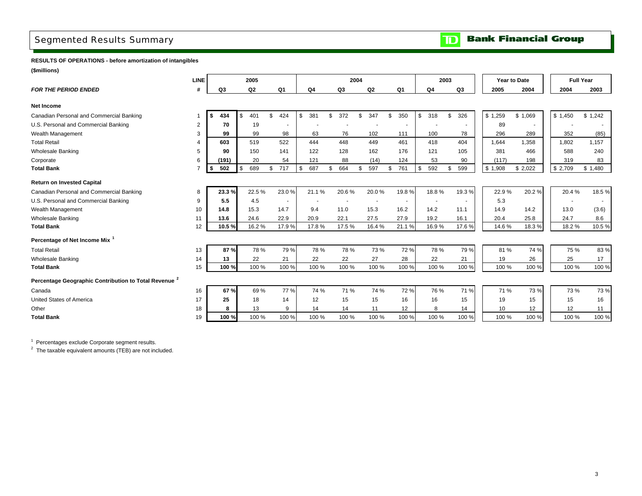# <span id="page-5-0"></span>Segmented Results Summary

**Bank Financial Group**  $\mathbf{D}$ 

**RESULTS OF OPERATIONS - before amortization of intangibles**

**(\$millions)**

|                                                                  | LINE |                   | 2005      |                |           |           | 2004 |       |           |                | 2003 |       |         | Year to Date |       |         | <b>Full Year</b> |       |
|------------------------------------------------------------------|------|-------------------|-----------|----------------|-----------|-----------|------|-------|-----------|----------------|------|-------|---------|--------------|-------|---------|------------------|-------|
| <b>FOR THE PERIOD ENDED</b>                                      | #    | Q3                | Q2        | Q1             | Q4        | Q3        |      | Q2    | Q1        | Q <sub>4</sub> |      | Q3    | 2005    |              | 2004  | 2004    | 2003             |       |
| <b>Net Income</b>                                                |      |                   |           |                |           |           |      |       |           |                |      |       |         |              |       |         |                  |       |
| Canadian Personal and Commercial Banking                         |      | 434<br>$\cdot$ \$ | 401<br>\$ | \$<br>424      | \$<br>381 | \$<br>372 | \$.  | 347   | \$<br>350 | \$<br>318      | S.   | 326   | \$1,259 | \$1,069      |       | \$1,450 | \$1,242          |       |
| U.S. Personal and Commercial Banking                             | 2    | 70                | 19        |                |           |           |      |       | $\sim$    |                |      |       | 89      |              |       |         |                  |       |
| Wealth Management                                                | 3    | 99                | 99        | 98             | 63        | 76        |      | 102   | 111       | 100            |      | 78    | 296     |              | 289   | 352     |                  | (85)  |
| <b>Total Retail</b>                                              |      | 603               | 519       | 522            | 444       | 448       |      | 449   | 461       | 418            |      | 404   | 1.644   |              | 1.358 | 1.802   | 1.157            |       |
| <b>Wholesale Banking</b>                                         | 5    | 90                | 150       | 141            | 122       | 128       |      | 162   | 176       | 121            |      | 105   | 381     |              | 466   | 588     |                  | 240   |
| Corporate                                                        | 6    | (191)             | 20        | 54             | 121       | 88        |      | (14)  | 124       | 53             |      | 90    | (117)   |              | 198   | 319     |                  | 83    |
| <b>Total Bank</b>                                                |      | 502<br>l \$       | \$<br>689 | \$<br>717      | \$<br>687 | \$<br>664 | \$   | 597   | \$<br>761 | \$<br>592      | \$   | 599   | \$1,908 | \$2,022      |       | \$2,709 | \$1,480          |       |
| <b>Return on Invested Capital</b>                                |      |                   |           |                |           |           |      |       |           |                |      |       |         |              |       |         |                  |       |
| Canadian Personal and Commercial Banking                         | 8    | 23.3%             | 22.5%     | 23.0%          | 21.1%     | 20.6%     |      | 20.0% | 19.8%     | 18.8%          |      | 19.3% | 22.9%   |              | 20.2% | 20.4%   |                  | 18.5% |
| U.S. Personal and Commercial Banking                             | 9    | 5.5               | 4.5       | $\blacksquare$ |           | $\sim$    |      |       | $\sim$    | $\blacksquare$ |      |       | 5.3     |              |       |         |                  |       |
| Wealth Management                                                | 10   | 14.8              | 15.3      | 14.7           | 9.4       | 11.0      |      | 15.3  | 16.2      | 14.2           |      | 11.1  | 14.9    |              | 14.2  | 13.0    |                  | (3.6) |
| <b>Wholesale Banking</b>                                         | 11   | 13.6              | 24.6      | 22.9           | 20.9      | 22.1      |      | 27.5  | 27.9      | 19.2           |      | 16.1  | 20.4    |              | 25.8  | 24.7    |                  | 8.6   |
| <b>Total Bank</b>                                                | 12   | 10.5%             | 16.2%     | 17.9%          | 17.8%     | 17.5%     |      | 16.4% | 21.1%     | 16.9%          |      | 17.6% | 14.6%   |              | 18.3% | 18.2%   |                  | 10.5% |
| Percentage of Net Income Mix <sup>1</sup>                        |      |                   |           |                |           |           |      |       |           |                |      |       |         |              |       |         |                  |       |
| <b>Total Retail</b>                                              | 13   | 87%               | 78 %      | 79%            | 78 %      | 78 %      |      | 73 %  | 72%       | 78 %           |      | 79 %  | 81%     |              | 74 %  | 75 %    |                  | 83%   |
| <b>Wholesale Banking</b>                                         | 14   | 13                | 22        | 21             | 22        | 22        |      | 27    | 28        | 22             |      | 21    | 19      |              | 26    | 25      |                  | 17    |
| <b>Total Bank</b>                                                | 15   | 100 %             | 100 %     | 100 %          | 100 %     | 100 %     |      | 100 % | 100 %     | 100 %          |      | 100 % | 100 %   |              | 100 % | 100 %   |                  | 100 % |
| Percentage Geographic Contribution to Total Revenue <sup>2</sup> |      |                   |           |                |           |           |      |       |           |                |      |       |         |              |       |         |                  |       |
| Canada                                                           | 16   | 67 %              | 69%       | 77%            | 74 %      | 71 %      |      | 74 %  | 72%       | 76 %           |      | 71 %  | 71 %    |              | 73 %  | 73 %    |                  | 73 %  |
| <b>United States of America</b>                                  | 17   | 25                | 18        | 14             | 12        | 15        |      | 15    | 16        | 16             |      | 15    | 19      |              | 15    | 15      |                  | 16    |
| Other                                                            | 18   | 8                 | 13        | $\mathbf{Q}$   | 14        | 14        |      | 11    | 12        | 8              |      | 14    | 10      |              | 12    | 12      |                  | 11    |
| <b>Total Bank</b>                                                | 19   | 100%              | 100 %     | 100 %          | 100 %     | 100 %     |      | 100 % | 100 %     | 100 %          |      | 100 % | 100 %   |              | 100 % | 100 %   |                  | 100 % |

<sup>1</sup> Percentages exclude Corporate segment results.

 $2$  The taxable equivalent amounts (TEB) are not included.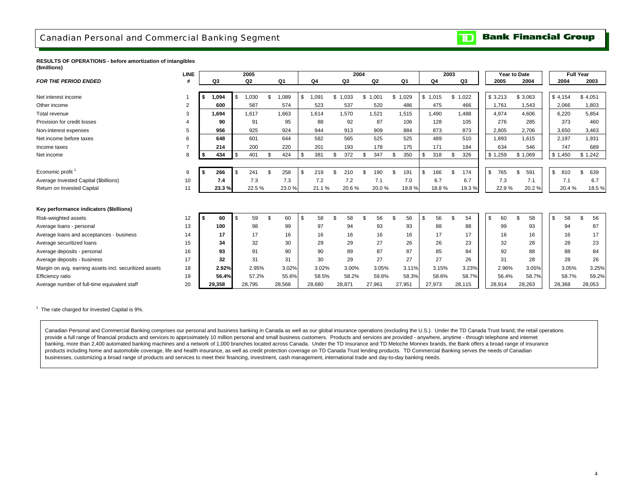### <span id="page-6-0"></span>Canadian Personal and Commercial Banking Segment

#### **Bank Financial Group**  $\overline{\mathbf{D}}$

#### **RESULTS OF OPERATIONS - before amortization of intangibles (\$millions)**

|                                                        | <b>LINE</b><br>2005 |    |        |                |                |                    |        |    |                |     | 2004   |     |                |    |         |         | 2003          |        |               | Year to Date |           |           | <b>Full Year</b> |        |
|--------------------------------------------------------|---------------------|----|--------|----------------|----------------|--------------------|--------|----|----------------|-----|--------|-----|----------------|----|---------|---------|---------------|--------|---------------|--------------|-----------|-----------|------------------|--------|
| <b>FOR THE PERIOD ENDED</b>                            |                     |    | Q3     |                | Q <sub>2</sub> |                    | Q1     |    | Q <sub>4</sub> |     | Q3     |     | Q <sub>2</sub> |    | Q1      | Q4      |               | Q3     |               | 2005         | 2004      | 2004      |                  | 2003   |
|                                                        |                     |    |        |                |                |                    |        |    |                |     |        |     |                |    |         |         |               |        |               |              |           |           |                  |        |
| Net interest income                                    |                     | \$ | 1,094  |                | 1,030          | $\mathfrak{L}$     | 1,089  | \$ | .091           | \$  | 1.033  | \$  | 1,001          |    | \$1,029 | \$1,015 | \$            | 1,022  |               | \$3,213      | \$3,063   | \$4,154   | \$4,051          |        |
| Other income                                           | $\overline{2}$      |    | 600    |                | 587            |                    | 574    |    | 523            |     | 537    |     | 520            |    | 486     | 475     |               | 466    |               | 1,761        | 1,543     | 2,066     |                  | 1,803  |
| Total revenue                                          | 3                   |    | 1.694  |                | 1.617          |                    | 1.663  |    | 1.614          |     | 1.570  |     | 1.521          |    | 1,515   | 1.490   |               | 1.488  |               | 4.974        | 4.606     | 6.220     |                  | 5,854  |
| Provision for credit losses                            | 4                   |    | 90     |                | 91             |                    | 95     |    | 88             |     | 92     |     | 87             |    | 106     | 128     |               | 105    |               | 276          | 285       | 373       |                  | 460    |
| Non-interest expenses                                  | 5                   |    | 956    |                | 925            |                    | 924    |    | 944            |     | 913    |     | 909            |    | 884     | 873     |               | 873    |               | 2.805        | 2,706     | 3.650     |                  | 3,463  |
| Net income before taxes                                | 6                   |    | 648    |                | 601            |                    | 644    |    | 582            |     | 565    |     | 525            |    | 525     | 489     |               | 510    |               | 1.893        | 1,615     | 2.197     |                  | 1,931  |
| Income taxes                                           | $\overline{ }$      |    | 214    |                | 200            |                    | 220    |    | 201            |     | 193    |     | 178            |    | 175     | 171     |               | 184    |               | 634          | 546       | 747       |                  | 689    |
| Net income                                             | 8                   | \$ | 434    |                | 401            | - \$               | 424    | \$ | 381            | \$  | 372    | \$  | 347            | S  | 350     | 318     | - \$          | 326    |               | \$1,259      | \$1,069   | \$1,450   | \$1,242          |        |
|                                                        |                     |    |        |                |                |                    |        |    |                |     |        |     |                |    |         |         |               |        |               |              |           |           |                  |        |
| Economic profit <sup>1</sup>                           | 9                   |    | 266    |                | 241            | $\mathcal{S}$      | 258    | \$ | 219            | \$. | 210    | \$. | 190            |    | 191     | 166     | \$            | 174    | $\mathfrak s$ | 765          | \$<br>591 | \$<br>810 | \$               | 639    |
| Average Invested Capital (\$billions)                  | 10                  |    | 7.4    |                | 7.3            |                    | 7.3    |    | 7.2            |     | 7.2    |     | 7.1            |    | 7.0     | 6.7     |               | 6.7    |               | 7.3          | 7.1       | 7.1       |                  | 6.7    |
| Return on Invested Capital                             | 11                  |    | 23.3%  |                | 22.5 %         |                    | 23.0%  |    | 21.1%          |     | 20.6%  |     | 20.0%          |    | 19.8%   | 18.8%   |               | 19.3%  |               | 22.9%        | 20.2%     | 20.4%     |                  | 18.5%  |
|                                                        |                     |    |        |                |                |                    |        |    |                |     |        |     |                |    |         |         |               |        |               |              |           |           |                  |        |
| Key performance indicators (\$billions)                |                     |    |        |                |                |                    |        |    |                |     |        |     |                |    |         |         |               |        |               |              |           |           |                  |        |
| Risk-weighted assets                                   | 12                  | \$ | 60     | $\mathfrak{L}$ | 59             | $\mathbf{\hat{s}}$ | 60     | \$ | 58             | \$  | 58     | \$  | 56             | \$ | 56      | 56      | $\mathcal{F}$ | 54     | \$            | 60           | \$<br>58  | \$<br>58  | \$               | 56     |
| Average loans - personal                               | 13                  |    | 100    |                | 98             |                    | 99     |    | 97             |     | 94     |     | 93             |    | 93      | 88      |               | 88     |               | 99           | 93        | 94        |                  | 87     |
| Average loans and acceptances - business               | 14                  |    | 17     |                | 17             |                    | 16     |    | 16             |     | 16     |     | 16             |    | 16      | 17      |               | 17     |               | 16           | 16        | 16        |                  | 17     |
| Average securitized loans                              | 15                  |    | 34     |                | 32             |                    | 30     |    | 29             |     | 29     |     | 27             |    | 26      | 26      |               | 23     |               | 32           | 28        | 28        |                  | 23     |
| Average deposits - personal                            | 16                  |    | 93     |                | 91             |                    | 90     |    | 90             |     | 89     |     | 87             |    | 87      | 85      |               | 84     |               | 92           | 88        | 88        |                  | 84     |
| Average deposits - business                            | 17                  |    | 32     |                | 31             |                    | 31     |    | 30             |     | 29     |     | 27             |    | 27      | 27      |               | 26     |               | 31           | 28        | 28        |                  | 26     |
| Margin on avg. earning assets incl. securitized assets | 18                  |    | 2.92%  |                | 2.95%          |                    | 3.02%  |    | 3.02%          |     | 3.00%  |     | 3.05%          |    | 3.11%   | 3.15%   |               | 3.23%  |               | 2.96%        | 3.05%     | 3.05%     |                  | 3.25%  |
| Efficiency ratio                                       | 19                  |    | 56.4%  |                | 57.2%          |                    | 55.6%  |    | 58.5%          |     | 58.2%  |     | 59.8%          |    | 58.3%   | 58.6%   |               | 58.7%  |               | 56.4%        | 58.7%     | 58.7%     |                  | 59.2%  |
| Average number of full-time equivalent staff           | 20                  |    | 29.358 |                | 28.795         |                    | 28,566 |    | 28,680         |     | 28,871 |     | 27.961         |    | 27,951  | 27,973  |               | 28.115 |               | 28,914       | 28.263    | 28.368    |                  | 28,053 |

 $1$  The rate charged for Invested Capital is 9%.

Canadian Personal and Commercial Banking comprises our personal and business banking in Canada as well as our global insurance operations (excluding the U.S.). Under the TD Canada Trust brand, the retail operations provide a full range of financial products and services to approximately 10 million personal and small business customers. Products and services are provided - anywhere, anytime - through telephone and internet banking, more than 2,400 automated banking machines and a network of 1,000 branches located across Canada. Under the TD Insurance and TD Meloche Monnex brands, the Bank offers a broad range of insurance products including home and automobile coverage, life and health insurance, as well as credit protection coverage on TD Canada Trust lending products. TD Commercial Banking serves the needs of Canadian businesses, customizing a broad range of products and services to meet their financing, investment, cash management, international trade and day-to-day banking needs.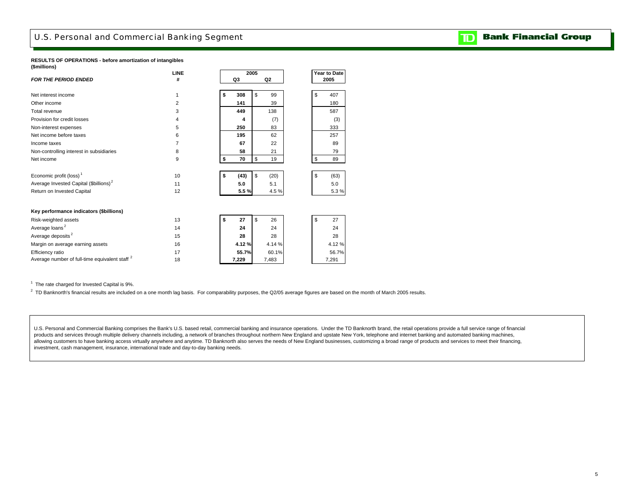## <span id="page-7-0"></span>U.S. Personal and Commercial Banking Segment

#### **RESULTS OF OPERATIONS - before amortization of intangibles (\$millions)**

|                                                           | <b>LINE</b>     | 2005       |            |    | Year to Date |
|-----------------------------------------------------------|-----------------|------------|------------|----|--------------|
| <b>FOR THE PERIOD ENDED</b>                               | #               | Q3         | Q2         |    | 2005         |
|                                                           |                 | 308        | \$<br>99   | \$ | 407          |
| Net interest income                                       | 1               | \$         |            |    |              |
| Other income                                              | 2               | 141        | 39         |    | 180          |
| Total revenue                                             | 3               | 449        | 138        |    | 587          |
| Provision for credit losses                               | 4               | 4          | (7)        |    | (3)          |
| Non-interest expenses                                     | 5               | 250        | 83         |    | 333          |
| Net income before taxes                                   | 6               | 195        | 62         |    | 257          |
| Income taxes                                              | 7               | 67         | 22         |    | 89           |
| Non-controlling interest in subsidiaries                  | 8               | 58         | 21         |    | 79           |
| Net income                                                | 9               | \$<br>70   | \$<br>19   | \$ | 89           |
| Economic profit (loss) <sup>1</sup>                       | 10 <sup>1</sup> | \$<br>(43) | \$<br>(20) | \$ | (63)         |
| Average Invested Capital (\$billions) <sup>2</sup>        | 11              | 5.0        | 5.1        |    | 5.0          |
| Return on Invested Capital                                | 12              | 5.5%       | 4.5%       |    | 5.3%         |
| Key performance indicators (\$billions)                   |                 |            |            |    |              |
| Risk-weighted assets                                      | 13              | \$<br>27   | \$<br>26   | \$ | 27           |
| Average loans <sup>2</sup>                                | 14              | 24         | 24         |    | 24           |
| Average deposits <sup>2</sup>                             | 15              | 28         | 28         |    | 28           |
| Margin on average earning assets                          | 16              | 4.12%      | 4.14%      |    | 4.12%        |
| Efficiency ratio                                          | 17              | 55.7%      | 60.1%      |    | 56.7%        |
| Average number of full-time equivalent staff <sup>2</sup> | 18              | 7,229      | 7,483      |    | 7,291        |

<sup>1</sup> The rate charged for Invested Capital is 9%.

<sup>2</sup> TD Banknorth's financial results are included on a one month lag basis. For comparability purposes, the Q2/05 average figures are based on the month of March 2005 results.

U.S. Personal and Commercial Banking comprises the Bank's U.S. based retail, commercial banking and insurance operations. Under the TD Banknorth brand, the retail operations provide a full service range of financial products and services through multiple delivery channels including, a network of branches throughout northern New England and upstate New York, telephone and internet banking and automated banking machines, allowing customers to have banking access virtually anywhere and anytime. TD Banknorth also serves the needs of New England businesses, customizing a broad range of products and services to meet their financing, investment, cash management, insurance, international trade and day-to-day banking needs.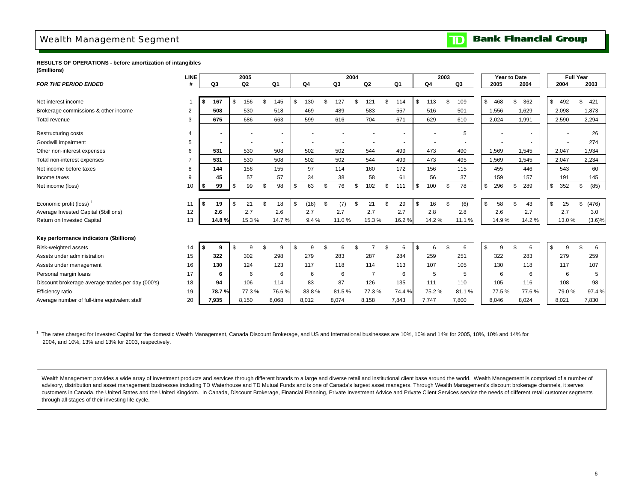## <span id="page-8-0"></span>Wealth Management Segment

**Bank Financial Group**  $\overline{\mathbf{D}}$ 

**RESULTS OF OPERATIONS - before amortization of intangibles (\$millions)**

|                                                   | <b>LINE</b>    |    |                | 2005           |     |        |            |    |       | 2004 |                |    |        |                | 2003 |       |                | Year to Date |                |       | <b>Full Year</b> |             |           |
|---------------------------------------------------|----------------|----|----------------|----------------|-----|--------|------------|----|-------|------|----------------|----|--------|----------------|------|-------|----------------|--------------|----------------|-------|------------------|-------------|-----------|
| <b>FOR THE PERIOD ENDED</b>                       | #              |    | Q3             | Q <sub>2</sub> |     | Q1     | Q4         |    | Q3    |      | Q2             |    | Q1     | Q <sub>4</sub> |      | Q3    |                | 2005         |                | 2004  | 2004             | 2003        |           |
|                                                   |                |    |                |                |     |        |            |    |       |      |                |    |        |                |      |       |                |              |                |       |                  |             |           |
| Net interest income                               |                | \$ | 167            | \$<br>156      | \$. | 145    | \$<br>130  | \$ | 127   | \$   | 121            | ፍ  | 114    | \$<br>113      | \$   | 109   | $\mathbb{S}$   | 468          | $\mathfrak{L}$ | 362   | \$<br>492        | 421<br>\$   |           |
| Brokerage commissions & other income              | $\overline{2}$ |    | 508            | 530            |     | 518    | 469        |    | 489   |      | 583            |    | 557    | 516            |      | 501   |                | 1,556        |                | 1,629 | 2,098            | 1,873       |           |
| Total revenue                                     | 3              |    | 675            | 686            |     | 663    | 599        |    | 616   |      | 704            |    | 671    | 629            |      | 610   |                | 2,024        |                | 1,991 | 2,590            | 2,294       |           |
| Restructuring costs                               | 4              |    | $\blacksquare$ |                |     | $\sim$ |            |    |       |      |                |    |        | $\blacksquare$ |      | 5     |                |              |                |       |                  | 26          |           |
| Goodwill impairment                               | 5              |    | $\blacksquare$ |                |     |        |            |    |       |      |                |    |        |                |      |       |                |              |                |       |                  | 274         |           |
| Other non-interest expenses                       | 6              |    | 531            | 530            |     | 508    | 502        |    | 502   |      | 544            |    | 499    | 473            |      | 490   |                | 1,569        |                | 1,545 | 2,047            | 1,934       |           |
| Total non-interest expenses                       | $\overline{7}$ |    | 531            | 530            |     | 508    | 502        |    | 502   |      | 544            |    | 499    | 473            |      | 495   |                | 1,569        |                | 1,545 | 2,047            | 2,234       |           |
| Net income before taxes                           | 8              |    | 144            | 156            |     | 155    | 97         |    | 114   |      | 160            |    | 172    | 156            |      | 115   |                | 455          |                | 446   | 543              | 60          |           |
| Income taxes                                      | 9              |    | 45             | 57             |     | 57     | 34         |    | 38    |      | 58             |    | 61     | 56             |      | 37    |                | 159          |                | 157   | 191              | 145         |           |
| Net income (loss)                                 | 10             | \$ | 99             | \$<br>99       | \$  | 98     | \$<br>63   | \$ | 76    | \$   | 102            | \$ | 111    | \$<br>100      | \$   | 78    | $\mathbf{s}$   | 296          | \$             | 289   | \$<br>352        | (85)<br>\$  |           |
|                                                   |                |    |                |                |     |        |            |    |       |      |                |    |        |                |      |       |                |              |                |       |                  |             |           |
| Economic profit (loss) <sup>1</sup>               | 11             | Ŝ. | 19             | \$<br>21       | \$  | 18     | \$<br>(18) | \$ | (7)   | \$   | 21             |    | 29     | \$<br>16       | \$   | (6)   | $\mathfrak{s}$ | 58           | £.             | 43    | \$<br>25         | (476)<br>\$ |           |
| Average Invested Capital (\$billions)             | 12             |    | 2.6            | 2.7            |     | 2.6    | 2.7        |    | 2.7   |      | 2.7            |    | 2.7    | 2.8            |      | 2.8   |                | 2.6          |                | 2.7   | 2.7              | 3.0         |           |
| Return on Invested Capital                        | 13             |    | 14.8%          | 15.3%          |     | 14.7%  | 9.4%       |    | 11.0% |      | 15.3%          |    | 16.2%  | 14.2%          |      | 11.1% |                | 14.9%        |                | 14.2% | 13.0%            |             | $(3.6)\%$ |
|                                                   |                |    |                |                |     |        |            |    |       |      |                |    |        |                |      |       |                |              |                |       |                  |             |           |
| Key performance indicators (\$billions)           |                |    |                |                |     |        |            |    |       |      |                |    |        |                |      |       |                |              |                |       |                  |             |           |
| Risk-weighted assets                              | 14             | Ŝ. |                | \$<br>9        | \$  | 9      | \$<br>9    | ድ  |       | \$   |                |    | 6      | \$<br>6        | \$   | 6     | $\mathbf{s}$   | 9            | \$             | 6     | \$<br>9          | \$          | 6         |
| Assets under administration                       | 15             |    | 322            | 302            |     | 298    | 279        |    | 283   |      | 287            |    | 284    | 259            |      | 251   |                | 322          |                | 283   | 279              | 259         |           |
| Assets under management                           | 16             |    | 130            | 124            |     | 123    | 117        |    | 118   |      | 114            |    | 113    | 107            |      | 105   |                | 130          |                | 118   | 117              | 107         |           |
| Personal margin loans                             | 17             |    | 6              | 6              |     | 6      | 6          |    | 6     |      | $\overline{7}$ |    | 6      | 5              |      | 5     |                | 6            |                | 6     | 6                |             | 5         |
| Discount brokerage average trades per day (000's) | 18             |    | 94             | 106            |     | 114    | 83         |    | 87    |      | 126            |    | 135    | 111            |      | 110   |                | 105          |                | 116   | 108              | 98          |           |
| Efficiency ratio                                  | 19             |    | 78.7%          | 77.3%          |     | 76.6%  | 83.8%      |    | 81.5% |      | 77.3%          |    | 74.4 % | 75.2%          |      | 81.1% |                | 77.5%        |                | 77.6% | 79.0%            | 97.4%       |           |
| Average number of full-time equivalent staff      | 20             |    | 7.935          | 8,150          |     | 8,068  | 8,012      |    | 8,074 |      | 8,158          |    | 7,843  | 7.747          |      | 7,800 |                | 8.046        |                | 8,024 | 8.021            | 7,830       |           |

<sup>1</sup> The rates charged for Invested Capital for the domestic Wealth Management, Canada Discount Brokerage, and US and International businesses are 10%, 10% and 14% for 2005, 10%, 10% and 14% for 2004, and 10%, 13% and 13% for 2003, respectively.

Wealth Management provides a wide array of investment products and services through different brands to a large and diverse retail and institutional client base around the world. Wealth Management is comprised of a number advisory, distribution and asset management businesses including TD Waterhouse and TD Mutual Funds and is one of Canada's largest asset managers. Through Wealth Management's discount brokerage channels, it serves customers in Canada, the United States and the United Kingdom. In Canada, Discount Brokerage, Financial Planning, Private Investment Advice and Private Client Services service the needs of different retail customer segments through all stages of their investing life cycle.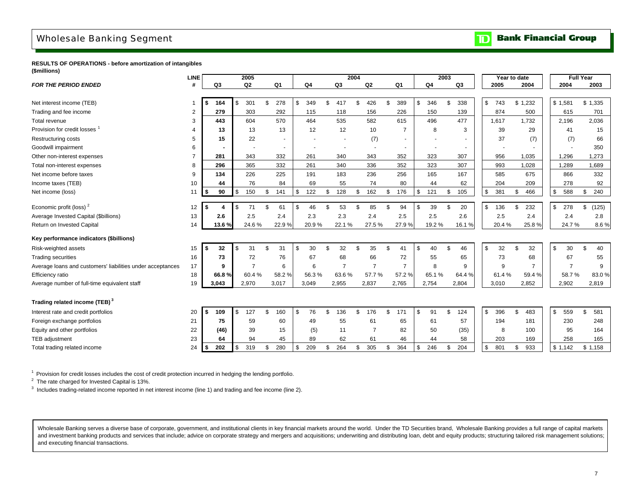# <span id="page-9-0"></span>Wholesale Banking Segment

**Bank Financial Group**  $\mathbf{D}$ 

**RESULTS OF OPERATIONS - before amortization of intangibles (\$millions)**

|                                                            | <b>LINE</b> |            | 2005                 |                |                |              |       |                | 2004 |                          |     |                |                | 2003 |        |               | Year to date |         |                | Full Year      |             |
|------------------------------------------------------------|-------------|------------|----------------------|----------------|----------------|--------------|-------|----------------|------|--------------------------|-----|----------------|----------------|------|--------|---------------|--------------|---------|----------------|----------------|-------------|
| <b>FOR THE PERIOD ENDED</b>                                | #           | Q3         | Q <sub>2</sub>       |                | Q <sub>1</sub> |              | Q4    | Q3             |      | Q2                       |     | Q1             | Q <sub>4</sub> |      | Q3     |               | 2005         |         | 2004           | 2004           | 2003        |
|                                                            |             |            |                      |                |                |              |       |                |      |                          |     |                |                |      |        |               |              |         |                |                |             |
| Net interest income (TEB)                                  |             | 164<br>\$  | \$<br>301            |                | 278<br>\$      | \$           | 349   | \$<br>417      | \$   | 426                      | \$  | 389            | \$<br>346      | \$   | 338    | \$            | 743          | \$1,232 |                | \$1,581        | \$1,335     |
| Trading and fee income                                     | 2           | 279        | 303                  |                | 292            |              | 115   | 118            |      | 156                      |     | 226            | 150            |      | 139    |               | 874          |         | 500            | 615            | 701         |
| Total revenue                                              | 3           | 443        | 604                  |                | 570            |              | 464   | 535            |      | 582                      |     | 615            | 496            |      | 477    |               | 1,617        |         | 1,732          | 2,196          | 2,036       |
| Provision for credit losses                                |             | 13         | 13                   |                | 13             |              | 12    | 12             |      | 10                       |     | $\overline{7}$ | 8              |      | 3      |               | 39           |         | 29             | 41             | 15          |
| Restructuring costs                                        | 5           | 15         | 22                   |                |                |              |       |                |      | (7)                      |     | $\sim$         |                |      |        |               | 37           |         | (7)            | (7)            | 66          |
| Goodwill impairment                                        | 6           |            |                      |                |                |              |       |                |      | $\overline{\phantom{a}}$ |     | $\sim$         |                |      |        |               |              |         |                |                | 350         |
| Other non-interest expenses                                |             | 281        | 343                  |                | 332            |              | 261   | 340            |      | 343                      |     | 352            | 323            |      | 307    |               | 956          |         | 1,035          | 1,296          | 1,273       |
| Total non-interest expenses                                | 8           | 296        | 365                  |                | 332            |              | 261   | 340            |      | 336                      |     | 352            | 323            |      | 307    |               | 993          |         | 1,028          | 1,289          | 1,689       |
| Net income before taxes                                    | 9           | 134        | 226                  |                | 225            |              | 191   | 183            |      | 236                      |     | 256            | 165            |      | 167    |               | 585          |         | 675            | 866            | 332         |
| Income taxes (TEB)                                         | 10          | 44         | 76                   |                | 84             |              | 69    | 55             |      | 74                       |     | 80             | 44             |      | 62     |               | 204          |         | 209            | 278            | 92          |
| Net income (loss)                                          | 11          | 90<br>\$   | 150<br><sup>\$</sup> |                | 141<br>\$      | \$           | 122   | \$<br>128      | \$   | 162                      | \$  | 176            | \$<br>121      | \$   | 105    | \$            | 381          | \$      | 466            | \$<br>588      | \$<br>240   |
|                                                            |             |            |                      |                |                |              |       |                |      |                          |     |                |                |      |        |               |              |         |                |                |             |
| Economic profit (loss) <sup>2</sup>                        | 12          | -\$        | 71<br>-\$            |                | \$<br>61       | \$           | 46    | 53             |      | 85                       | \$. | 94             | \$<br>39       |      | 20     | S.            | 136          | \$      | 232            | \$<br>278      | \$<br>(125) |
| Average Invested Capital (\$billions)                      | 13          | 2.6        | 2.5                  |                | 2.4            |              | 2.3   | 2.3            |      | 2.4                      |     | 2.5            | 2.5            |      | 2.6    |               | 2.5          |         | 2.4            | 2.4            | 2.8         |
| Return on Invested Capital                                 | 14          | 13.6%      |                      | 24.6%          | 22.9%          |              | 20.9% | 22.1%          |      | 27.5%                    |     | 27.9%          | 19.2%          |      | 16.1%  |               | 20.4%        |         | 25.8%          | 24.7%          | 8.6%        |
| Key performance indicators (\$billions)                    |             |            |                      |                |                |              |       |                |      |                          |     |                |                |      |        |               |              |         |                |                |             |
| Risk-weighted assets                                       | 15          | 32<br>\$   | 31<br>-\$            |                | 31<br>\$       | $\mathbb{S}$ | 30    | \$<br>32       | \$   | 35                       | \$. | 41             | \$<br>40       |      | 46     | \$            | 32           | \$      | 32             | \$<br>30       | \$<br>40    |
| <b>Trading securities</b>                                  | 16          | 73         |                      | 72             | 76             |              | 67    | 68             |      | 66                       |     | 72             | 55             |      | 65     |               | 73           |         | 68             | 67             | 55          |
| Average loans and customers' liabilities under acceptances | 17          | 9          |                      | $\overline{7}$ | 6              |              | 6     | $\overline{7}$ |      | $\overline{7}$           |     | $\overline{7}$ | 8              |      | 9      |               | 9            |         | $\overline{7}$ | $\overline{7}$ | 9           |
| Efficiency ratio                                           | 18          | 66.8%      |                      | 60.4%          | 58.2%          |              | 56.3% | 63.6%          |      | 57.7%                    |     | 57.2%          | 65.1%          |      | 64.4 % |               | 61.4%        |         | 59.4%          | 58.7%          | 83.0%       |
| Average number of full-time equivalent staff               | 19          | 3,043      | 2,970                |                | 3,017          |              | 3,049 | 2,955          |      | 2,837                    |     | 2,765          | 2,754          |      | 2,804  |               | 3,010        |         | 2,852          | 2,902          | 2,819       |
|                                                            |             |            |                      |                |                |              |       |                |      |                          |     |                |                |      |        |               |              |         |                |                |             |
| Trading related income (TEB) <sup>3</sup>                  |             |            |                      |                |                |              |       |                |      |                          |     |                |                |      |        |               |              |         |                |                |             |
| Interest rate and credit portfolios                        | 20          | 109<br>£.  | 127<br>\$            |                | \$.<br>160     | $\mathbb{S}$ | 76    | \$<br>136      | \$   | 176                      | \$  | 171            | \$<br>91       |      | 124    | \$            | 396          | £.      | 483            | \$<br>559      | \$<br>581   |
| Foreign exchange portfolios                                | 21          | 75         | 59                   |                | 60             |              | 49    | 55             |      | 61                       |     | 65             | 61             |      | 57     |               | 194          |         | 181            | 230            | 248         |
| Equity and other portfolios                                | 22          | (46)       |                      | 39             | 15             |              | (5)   | 11             |      | $\overline{7}$           |     | 82             | 50             |      | (35)   |               | 8            |         | 100            | 95             | 164         |
| TEB adjustment                                             | 23          | 64         | 94                   |                | 45             |              | 89    | 62             |      | 61                       |     | 46             | 44             |      | 58     |               | 203          |         | 169            | 258            | 165         |
| Total trading related income                               | 24          | 202<br>-\$ | 319<br>\$            |                | 280<br>\$      | \$           | 209   | \$<br>264      | \$   | 305                      | \$  | 364            | \$<br>246      |      | 204    | <sup>\$</sup> | 801          | \$      | 933            | \$1,142        | \$1,158     |

<sup>1</sup> Provision for credit losses includes the cost of credit protection incurred in hedging the lending portfolio.

<sup>2</sup> The rate charged for Invested Capital is 13%.

 $3$  Includes trading-related income reported in net interest income (line 1) and trading and fee income (line 2).

Wholesale Banking serves a diverse base of corporate, government, and institutional clients in key financial markets around the world. Under the TD Securities brand, Wholesale Banking provides a full range of capital marke and investment banking products and services that include; advice on corporate strategy and mergers and acquisitions; underwriting and distributing loan, debt and equity products; structuring tailored risk management solut and executing financial transactions.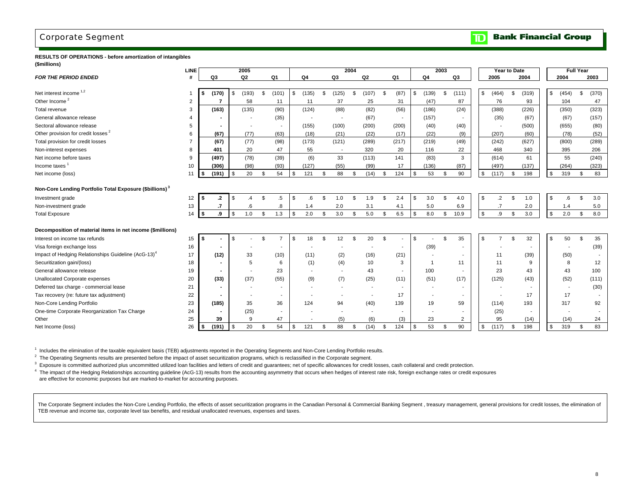## <span id="page-10-0"></span>Corporate Segment

#### **Bank Financial Group**  $\mathbf{D}$

**RESULTS OF OPERATIONS - before amortization of intangibles (\$millions)**

|                                                                     | <b>LINE</b> |                          | 2005        |                          |     |                |     |                          | 2004          |                          |    |                          |                |                          | 2003 |                          |                | <b>Year to Date</b>      |             |               |        | <b>Full Year</b> |       |
|---------------------------------------------------------------------|-------------|--------------------------|-------------|--------------------------|-----|----------------|-----|--------------------------|---------------|--------------------------|----|--------------------------|----------------|--------------------------|------|--------------------------|----------------|--------------------------|-------------|---------------|--------|------------------|-------|
| <b>FOR THE PERIOD ENDED</b>                                         | #           | Q3                       | Q2          | Q1                       |     | Q4             |     | Q3                       |               | Q2                       |    | Q1                       |                | Q4                       |      | Q3                       |                | 2005                     | 2004        |               | 2004   |                  | 2003  |
|                                                                     |             |                          |             |                          |     |                |     |                          |               |                          |    |                          |                |                          |      |                          |                |                          |             |               |        |                  |       |
| Net interest income <sup>1,2</sup>                                  |             | (170)                    | \$<br>(193) | \$<br>(101)              | \$. | (135)          | \$. | (125)                    | \$            | (107)                    | Ŝ. | (87)                     | $\mathfrak{L}$ | (139)                    | \$   | (111)                    | \$             | (464)                    | \$<br>(319) | \$            | (454)  | \$               | (370) |
| Other Income <sup>2</sup>                                           | 2           | 7                        | 58          | 11                       |     | 11             |     | 37                       |               | 25                       |    | 31                       |                | (47)                     |      | 87                       |                | 76                       | 93          |               | 104    |                  | 47    |
| Total revenue                                                       | 3           | (163)                    | (135)       | (90)                     |     | (124)          |     | (88)                     |               | (82)                     |    | (56)                     |                | (186)                    |      | (24)                     |                | (388)                    | (226)       |               | (350)  |                  | (323) |
| General allowance release                                           |             |                          |             | (35)                     |     |                |     | $\overline{\phantom{a}}$ |               | (67)                     |    |                          |                | (157)                    |      |                          |                | (35)                     | (67)        |               | (67)   |                  | (157) |
| Sectoral allowance release                                          | 5           | $\blacksquare$           |             | $\overline{\phantom{a}}$ |     | (155)          |     | (100)                    |               | (200)                    |    | (200)                    |                | (40)                     |      | (40)                     |                | $\overline{\phantom{a}}$ | (500)       |               | (655)  |                  | (80)  |
| Other provision for credit losses <sup>2</sup>                      | 6           | (67)                     | (77)        | (63)                     |     | (18)           |     | (21)                     |               | (22)                     |    | (17)                     |                | (22)                     |      | (9)                      |                | (207)                    | (60)        |               | (78)   |                  | (52)  |
| Total provision for credit losses                                   |             | (67)                     | (77)        | (98)                     |     | (173)          |     | (121)                    |               | (289)                    |    | (217)                    |                | (219)                    |      | (49)                     |                | (242)                    | (627)       |               | (800)  |                  | (289) |
| Non-interest expenses                                               | 8           | 401                      | 20          | 47                       |     | 55             |     | $\overline{\phantom{a}}$ |               | 320                      |    | 20                       |                | 116                      |      | 22                       |                | 468                      | 340         |               | 395    |                  | 206   |
| Net income before taxes                                             | 9           | (497)                    | (78)        | (39)                     |     | (6)            |     | 33                       |               | (113)                    |    | 141                      |                | (83)                     |      | 3                        |                | (614)                    | 61          |               | 55     |                  | (240) |
| Income taxes <sup>1</sup>                                           | 10          | (306)                    | (98)        | (93)                     |     | (127)          |     | (55)                     |               | (99)                     |    | 17                       |                | (136)                    |      | (87)                     |                | (497)                    | (137)       |               | (264)  |                  | (323) |
| Net income (loss)                                                   | 11          | \$<br>(191)              | \$<br>20    | \$<br>54                 | \$  | 121            | \$  | 88                       | \$            | (14)                     | \$ | 124                      | $\mathfrak{s}$ | 53                       | \$   | 90                       | \$             | (117)                    | \$<br>198   | \$            | 319    | \$               | 83    |
|                                                                     |             |                          |             |                          |     |                |     |                          |               |                          |    |                          |                |                          |      |                          |                |                          |             |               |        |                  |       |
| Non-Core Lending Portfolio Total Exposure (\$billions) <sup>3</sup> |             |                          |             |                          |     |                |     |                          |               |                          |    |                          |                |                          |      |                          |                |                          |             |               |        |                  |       |
| Investment grade                                                    | 12          | \$<br>.2                 | \$<br>.4    | \$<br>$.5\,$             | \$  | 6.6            | \$  | 1.0                      | \$            | 1.9                      | Ŝ. | 2.4                      | \$.            | 3.0                      | \$   | 4.0                      | \$             | $\cdot$ .2               | \$<br>1.0   | \$            | .6     | \$               | 3.0   |
| Non-investment grade                                                | 13          | .7                       | .6          | .8                       |     | 1.4            |     | 2.0                      |               | 3.1                      |    | 4.1                      |                | 5.0                      |      | 6.9                      |                | $\cdot$                  | 2.0         |               | 1.4    |                  | 5.0   |
| <b>Total Exposure</b>                                               | 14          | \$<br>.9                 | \$<br>1.0   | \$<br>1.3                | \$  | 2.0            | \$  | 3.0                      | \$            | 5.0                      | \$ | 6.5                      | \$             | 8.0                      | \$   | 10.9                     | $$\mathbb{S}$$ | .9                       | \$<br>3.0   | \$            | 2.0    | \$               | 8.0   |
|                                                                     |             |                          |             |                          |     |                |     |                          |               |                          |    |                          |                |                          |      |                          |                |                          |             |               |        |                  |       |
| Decomposition of material items in net income (\$millions)          |             |                          |             |                          |     |                |     |                          |               |                          |    |                          |                |                          |      |                          |                |                          |             |               |        |                  |       |
| Interest on income tax refunds                                      | 15          | \$                       | \$          | \$<br>$\overline{7}$     | \$  | 18             | \$  | 12                       | \$            | 20                       | \$ |                          | $\mathfrak{L}$ |                          | \$.  | 35                       | \$             | $\overline{7}$           | \$<br>32    | \$.           | 50     | \$               | 35    |
| Visa foreign exchange loss                                          | 16          |                          |             |                          |     |                |     |                          |               |                          |    | $\overline{\phantom{a}}$ |                | (39)                     |      |                          |                |                          |             |               |        |                  | (39)  |
| Impact of Hedging Relationships Guideline (AcG-13) <sup>4</sup>     | 17          | (12)                     | 33          | (10)                     |     | (11)           |     | (2)                      |               | (16)                     |    | (21)                     |                |                          |      |                          |                | 11                       | (39)        |               | (50)   |                  |       |
| Securitization gain/(loss)                                          | 18          | $\blacksquare$           | 5           | 6                        |     | (1)            |     | (4)                      |               | 10                       |    | 3                        |                |                          |      | 11                       |                | 11                       | 9           |               | 8      |                  | 12    |
| General allowance release                                           | 19          | $\overline{\phantom{a}}$ |             | 23                       |     | $\blacksquare$ |     | $\overline{\phantom{a}}$ |               | 43                       |    | $\overline{\phantom{a}}$ |                | 100                      |      | $\overline{\phantom{a}}$ |                | 23                       | 43          |               | 43     |                  | 100   |
| <b>Unallocated Corporate expenses</b>                               | 20          | (33)                     | (37)        | (55)                     |     | (9)            |     | (7)                      |               | (25)                     |    | (11)                     |                | (51)                     |      | (17)                     |                | (125)                    | (43)        |               | (52)   |                  | (111) |
| Deferred tax charge - commercial lease                              | 21          | $\overline{\phantom{a}}$ |             | $\overline{\phantom{a}}$ |     |                |     |                          |               |                          |    | $\overline{\phantom{a}}$ |                |                          |      |                          |                |                          |             |               | $\sim$ |                  | (30)  |
| Tax recovery (re: future tax adjustment)                            | 22          | $\blacksquare$           |             | $\overline{\phantom{a}}$ |     |                |     | $\overline{\phantom{a}}$ |               | $\overline{\phantom{a}}$ |    | 17                       |                | $\overline{\phantom{a}}$ |      |                          |                |                          | 17          |               | 17     |                  |       |
| Non-Core Lending Portfolio                                          | 23          | (185)                    | 35          | 36                       |     | 124            |     | 94                       |               | (40)                     |    | 139                      |                | 19                       |      | 59                       |                | (114)                    | 193         |               | 317    |                  | 92    |
| One-time Corporate Reorganization Tax Charge                        | 24          | $\blacksquare$           | (25)        | $\overline{\phantom{a}}$ |     |                |     |                          |               |                          |    |                          |                |                          |      |                          |                | (25)                     |             |               |        |                  |       |
| Other                                                               | 25          | 39                       | 9           | 47                       |     |                |     | (5)                      |               | (6)                      |    | (3)                      |                | 23                       |      | $\overline{2}$           |                | 95                       | (14)        |               | (14)   |                  | 24    |
| Net Income (loss)                                                   | 26          | \$<br>(191)              | \$<br>20    | \$<br>54                 | \$  | 121            | \$  | 88                       | <sup>\$</sup> | (14)                     | \$ | 124                      | \$             | 53                       | \$   | 90                       | \$             | (117)                    | \$<br>198   | $\mathfrak s$ | 319    | \$               | 83    |

<sup>1</sup> Includes the elimination of the taxable equivalent basis (TEB) adjustments reported in the Operating Segments and Non-Core Lending Portfolio results.

<sup>2</sup> The Operating Segments results are presented before the impact of asset securitization programs, which is reclassified in the Corporate segment.

<sup>3</sup> Exposure is committed authorized plus uncommitted utilized loan facilities and letters of credit and guarantees; net of specific allowances for credit losses, cash collateral and credit protection.

<sup>4</sup> The impact of the Hedging Relationships accounting guideline (AcG-13) results from the accounting asymmetry that occurs when hedges of interest rate risk, foreign exchange rates or credit exposures are effective for economic purposes but are marked-to-market for accounting purposes.

The Corporate Segment includes the Non-Core Lending Portfolio, the effects of asset securitization programs in the Canadian Personal & Commercial Banking Segment, treasury management, general provisions for credit losses, TEB revenue and income tax, corporate level tax benefits, and residual unallocated revenues, expenses and taxes.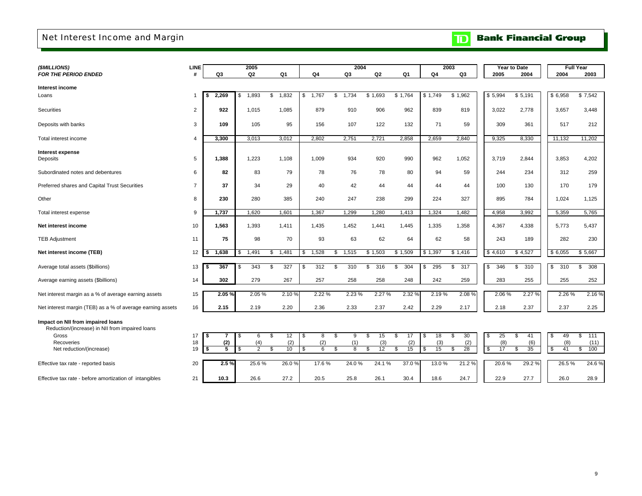# <span id="page-11-0"></span>Net Interest Income and Margin

| <b>TD</b> Bank Financial Group |
|--------------------------------|
|--------------------------------|

| (\$MILLIONS)                                                                         | LINE           |                | 2005                 |             |                       | 2004        |                |           |           | 2003      |           | Year to Date |                           | <b>Full Year</b> |
|--------------------------------------------------------------------------------------|----------------|----------------|----------------------|-------------|-----------------------|-------------|----------------|-----------|-----------|-----------|-----------|--------------|---------------------------|------------------|
| <b>FOR THE PERIOD ENDED</b>                                                          | #              | Q <sub>3</sub> | Q <sub>2</sub>       | Q1          | Q4                    | Q3          | Q <sub>2</sub> | Q1        | Q4        | Q3        | 2005      | 2004         | 2004                      | 2003             |
|                                                                                      |                |                |                      |             |                       |             |                |           |           |           |           |              |                           |                  |
| Interest income                                                                      |                |                |                      |             |                       |             |                |           |           |           |           |              |                           |                  |
| Loans                                                                                |                | 2,269<br>l \$  | 1,893<br>\$          | 1,832<br>\$ | $\mathbb{S}$<br>1,767 | \$<br>1.734 | \$1,693        | \$1,764   | \$1,749   | \$1,962   | \$5,994   | \$5,191      | \$6,958                   | \$7,542          |
| Securities                                                                           | 2              | 922            | 1,015                | 1,085       | 879                   | 910         | 906            | 962       | 839       | 819       | 3,022     | 2,778        | 3,657                     | 3,448            |
| Deposits with banks                                                                  | 3              | 109            | 105                  | 95          | 156                   | 107         | 122            | 132       | 71        | 59        | 309       | 361          | 517                       | 212              |
| Total interest income                                                                | $\overline{4}$ | 3,300          | 3,013                | 3,012       | 2,802                 | 2,751       | 2,721          | 2,858     | 2,659     | 2,840     | 9,325     | 8,330        | 11,132                    | 11,202           |
| Interest expense                                                                     |                |                |                      |             |                       |             |                |           |           |           |           |              |                           |                  |
| Deposits                                                                             | 5              | 1,388          | 1,223                | 1,108       | 1,009                 | 934         | 920            | 990       | 962       | 1,052     | 3,719     | 2,844        | 3,853                     | 4,202            |
| Subordinated notes and debentures                                                    | 6              | 82             | 83                   | 79          | 78                    | 76          | 78             | 80        | 94        | 59        | 244       | 234          | 312                       | 259              |
| Preferred shares and Capital Trust Securities                                        | $\overline{7}$ | 37             | 34                   | 29          | 40                    | 42          | 44             | 44        | 44        | 44        | 100       | 130          | 170                       | 179              |
| Other                                                                                | 8              | 230            | 280                  | 385         | 240                   | 247         | 238            | 299       | 224       | 327       | 895       | 784          | 1.024                     | 1,125            |
| Total interest expense                                                               | 9              | 1,737          | 1,620                | 1,601       | 1,367                 | 1,299       | 1,280          | 1,413     | 1,324     | 1,482     | 4,958     | 3,992        | 5,359                     | 5,765            |
| Net interest income                                                                  | 10             | 1,563          | 1,393                | 1,411       | 1,435                 | 1,452       | 1,441          | 1,445     | 1,335     | 1,358     | 4,367     | 4,338        | 5,773                     | 5,437            |
| <b>TEB Adjustment</b>                                                                | 11             | 75             | 98                   | 70          | 93                    | 63          | 62             | 64        | 62        | 58        | 243       | 189          | 282                       | 230              |
| Net interest income (TEB)                                                            | 12             | 1,638<br>- \$  | 1,491<br>\$          | 1,481<br>\$ | \$<br>1,528           | \$<br>1,515 | \$1,503        | \$1,509   | \$1,397   | \$1,416   | \$4,610   | \$4,527      | \$6,055                   | \$5,667          |
| Average total assets (\$billions)                                                    | 13             | 367<br>∣\$     | 343<br>\$            | 327<br>\$   | 312<br>\$             | 310<br>\$   | \$<br>316      | 304<br>\$ | 295       | 317<br>\$ | \$<br>346 | 310<br>\$    | \$<br>310                 | 308<br>\$        |
| Average earning assets (\$billions)                                                  | 14             | 302            | 279                  | 267         | 257                   | 258         | 258            | 248       | 242       | 259       | 283       | 255          | 255                       | 252              |
| Net interest margin as a % of average earning assets                                 | 15             | 2.05%          | 2.05%                | 2.10%       | 2.22 %                | 2.23%       | 2.27 %         | 2.32 %    | 2.19%     | 2.08 %    | 2.06%     | 2.27 %       | 2.26 %                    | 2.16 %           |
| Net interest margin (TEB) as a % of average earning assets                           | 16             | 2.15           | 2.19                 | 2.20        | 2.36                  | 2.33        | 2.37           | 2.42      | 2.29      | 2.17      | 2.18      | 2.37         | 2.37                      | 2.25             |
| Impact on NII from impaired loans<br>Reduction/(increase) in NII from impaired loans |                |                |                      |             |                       |             |                |           |           |           |           |              |                           |                  |
| Gross                                                                                | 17             | l S<br>7       | \$<br>6              | \$<br>12    | \$<br>8               | \$<br>9     | 15<br>\$       | \$<br>17  | 18<br>\$  | 30<br>\$  | \$<br>25  | 41<br>\$     | \$<br>49                  | \$<br>111        |
| Recoveries                                                                           | 18             | (2)            | (4)                  | (2)         | (2)                   | (1)         | (3)            | (2)       | (3)       | (2)       | (8)       | (6)          | (8)                       | (11)             |
| Net reduction/(increase)                                                             | 19             | l \$<br>5      | $\overline{2}$<br>\$ | \$<br>10    | \$<br>6               | \$<br>8     | 12<br>\$       | \$<br>15  | 15<br>\$. | 28<br>\$  | 17<br>\$  | 35<br>\$     | $\boldsymbol{\phi}$<br>41 | \$<br>100        |
| Effective tax rate - reported basis                                                  | 20             | 2.5%           | 25.6%                | 26.0%       | 17.6%                 | 24.0%       | 24.1%          | 37.0 %    | 13.0%     | 21.2%     | 20.6%     | 29.2%        | 26.5%                     | 24.6%            |
| Effective tax rate - before amortization of intangibles                              | 21             | 10.3           | 26.6                 | 27.2        | 20.5                  | 25.8        | 26.1           | 30.4      | 18.6      | 24.7      | 22.9      | 27.7         | 26.0                      | 28.9             |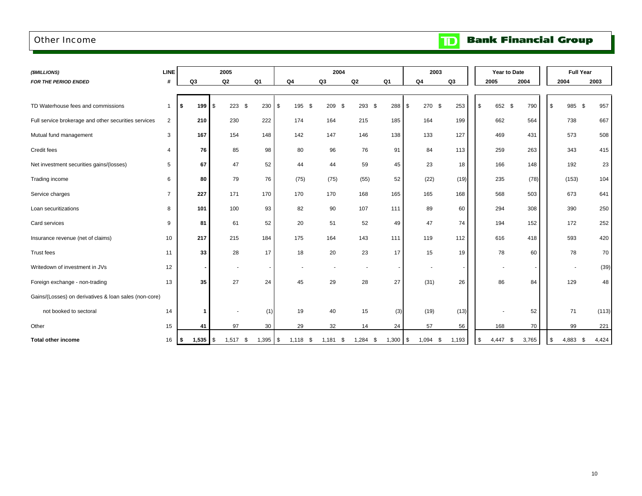### <span id="page-12-0"></span>Other Income

**Bank Financial Group**  $\mathbf{D}$ 

| (\$MILLIONS)                                          | <b>LINE</b>    |                            | 2005                     |                |                 | 2004        |               |       | 2003                     |               |      | Year to Date             |       | <b>Full Year</b>    |       |
|-------------------------------------------------------|----------------|----------------------------|--------------------------|----------------|-----------------|-------------|---------------|-------|--------------------------|---------------|------|--------------------------|-------|---------------------|-------|
| <b>FOR THE PERIOD ENDED</b>                           | #              | Q <sub>3</sub>             | Q <sub>2</sub>           | Q <sub>1</sub> | Q <sub>4</sub>  | Q3          | Q2            | Q1    | Q4                       | Q3            | 2005 |                          | 2004  | 2004                | 2003  |
|                                                       |                |                            |                          |                |                 |             |               |       |                          |               |      |                          |       |                     |       |
| TD Waterhouse fees and commissions                    |                | 199<br>\$                  | \$<br>$223$ \$           | 230            | \$<br>195<br>\$ | 209<br>\$   | 293 \$        | 288   | 270 \$<br>\$             | 253           | \$   | 652 \$                   | 790   | 985<br>\$<br>\$     | 957   |
| Full service brokerage and other securities services  | $\overline{2}$ | 210                        | 230                      | 222            | 174             | 164         | 215           | 185   | 164                      | 199           |      | 662                      | 564   | 738                 | 667   |
| Mutual fund management                                | 3              | 167                        | 154                      | 148            | 142             | 147         | 146           | 138   | 133                      | 127           |      | 469                      | 431   | 573                 | 508   |
| Credit fees                                           | 4              | 76                         | 85                       | 98             | 80              | 96          | 76            | 91    | 84                       | 113           |      | 259                      | 263   | 343                 | 415   |
| Net investment securities gains/(losses)              | 5              | 67                         | 47                       | 52             | 44              | 44          | 59            | 45    | 23                       | 18            |      | 166                      | 148   | 192                 | 23    |
| Trading income                                        | 6              | 80                         | 79                       | 76             | (75)            | (75)        | (55)          | 52    | (22)                     | (19)          |      | 235                      | (78)  | (153)               | 104   |
| Service charges                                       | $\overline{7}$ | 227                        | 171                      | 170            | 170             | 170         | 168           | 165   | 165                      | 168           |      | 568                      | 503   | 673                 | 641   |
| Loan securitizations                                  | 8              | 101                        | 100                      | 93             | 82              | 90          | 107           | 111   | 89                       | 60            |      | 294                      | 308   | 390                 | 250   |
| Card services                                         | 9              | 81                         | 61                       | 52             | 20              | 51          | 52            | 49    | 47                       | 74            |      | 194                      | 152   | 172                 | 252   |
| Insurance revenue (net of claims)                     | 10             | 217                        | 215                      | 184            | 175             | 164         | 143           | 111   | 119                      | 112           |      | 616                      | 418   | 593                 | 420   |
| Trust fees                                            | 11             | 33                         | 28                       | 17             | 18              | 20          | 23            | 17    | 15                       | 19            |      | 78                       | 60    | 78                  | 70    |
| Writedown of investment in JVs                        | 12             | $\blacksquare$             | $\overline{\phantom{a}}$ |                |                 |             |               |       | $\overline{\phantom{a}}$ |               |      | $\overline{\phantom{a}}$ |       | ٠                   | (39)  |
| Foreign exchange - non-trading                        | 13             | 35                         | 27                       | 24             | 45              | 29          | 28            | 27    | (31)                     | 26            |      | 86                       | 84    | 129                 | 48    |
| Gains/(Losses) on derivatives & loan sales (non-core) |                |                            |                          |                |                 |             |               |       |                          |               |      |                          |       |                     |       |
| not booked to sectoral                                | 14             | 1                          | $\overline{\phantom{a}}$ | (1)            | 19              | 40          | 15            | (3)   | (19)                     | (13)          |      |                          | 52    | 71                  | (113) |
| Other                                                 | 15             | 41                         | 97                       | 30             | 29              | 32          | 14            | 24    | 57                       | 56            |      | 168                      | 70    | 99                  | 221   |
| <b>Total other income</b>                             | 16             | $1,535$ $\sqrt{5}$<br>I \$ | $1,517$ \$               | $1,395$ \$     | 1,118<br>- \$   | 1,181<br>\$ | 1,284<br>- \$ | 1,300 | 1,094<br>\$              | 1,193<br>- \$ | \$   | 4,447<br>- \$            | 3,765 | 4,883<br>- \$<br>\$ | 4,424 |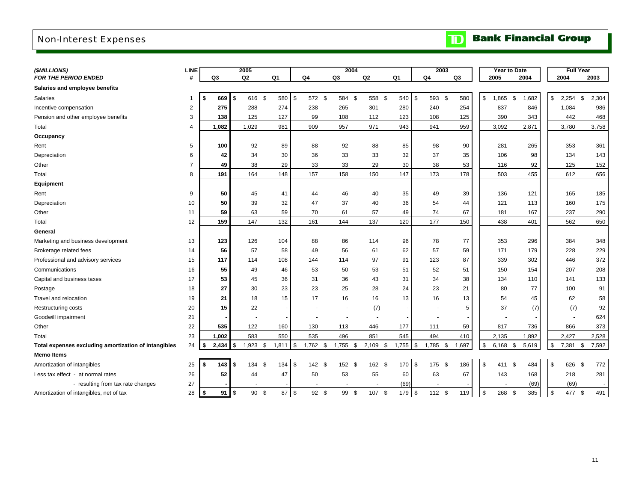# <span id="page-13-0"></span>Non-Interest Expenses

| (\$MILLIONS)                                         | <b>LINE</b>    |                |           | 2005             |        |       |            |            |                | 2004 |            |            | 2003           |                | Year to Date     |       | <b>Full Year</b> |             |
|------------------------------------------------------|----------------|----------------|-----------|------------------|--------|-------|------------|------------|----------------|------|------------|------------|----------------|----------------|------------------|-------|------------------|-------------|
| <b>FOR THE PERIOD ENDED</b>                          | #              | Q <sub>3</sub> |           | Q2               |        | Q1    | Q4         |            | Q <sub>3</sub> |      | Q2         | Q1         | Q <sub>4</sub> | Q <sub>3</sub> | 2005             | 2004  | 2004             | 2003        |
| Salaries and employee benefits                       |                |                |           |                  |        |       |            |            |                |      |            |            |                |                |                  |       |                  |             |
| Salaries                                             | 1              | \$             | 669       | \$               | 616 \$ | 580   | \$         | 572 \$     | 584 \$         |      | 558 \$     | 540        | \$<br>593 \$   | 580            | \$<br>1,865 \$   | 1,682 | \$<br>2,254      | \$<br>2,304 |
| Incentive compensation                               | 2              |                | 275       | 288              |        | 274   |            | 238        | 265            |      | 301        | 280        | 240            | 254            | 837              | 846   | 1,084            | 986         |
| Pension and other employee benefits                  | 3              |                | 138       | 125              |        | 127   |            | 99         | 108            |      | 112        | 123        | 108            | 125            | 390              | 343   | 442              | 468         |
| Total                                                | 4              |                | 1,082     | 1,029            |        | 981   |            | 909        | 957            |      | 971        | 943        | 941            | 959            | 3,092            | 2,871 | 3,780            | 3,758       |
| Occupancy                                            |                |                |           |                  |        |       |            |            |                |      |            |            |                |                |                  |       |                  |             |
| Rent                                                 | 5              |                | 100       | 92               |        | 89    |            | 88         | 92             |      | 88         | 85         | 98             | 90             | 281              | 265   | 353              | 361         |
| Depreciation                                         | 6              |                | 42        | 34               |        | 30    |            | 36         | 33             |      | 33         | 32         | 37             | 35             | 106              | 98    | 134              | 143         |
| Other                                                | $\overline{7}$ |                | 49        | 38               |        | 29    |            | 33         | 33             |      | 29         | 30         | 38             | 53             | 116              | 92    | 125              | 152         |
| Total                                                | 8              |                | 191       | 164              |        | 148   |            | 157        | 158            |      | 150        | 147        | 173            | 178            | 503              | 455   | 612              | 656         |
| Equipment                                            |                |                |           |                  |        |       |            |            |                |      |            |            |                |                |                  |       |                  |             |
| Rent                                                 | 9              |                | 50        | 45               |        | 41    |            | 44         | 46             |      | 40         | 35         | 49             | 39             | 136              | 121   | 165              | 185         |
| Depreciation                                         | 10             |                | 50        | 39               |        | 32    |            | 47         | 37             |      | 40         | 36         | 54             | 44             | 121              | 113   | 160              | 175         |
| Other                                                | 11             |                | 59        | 63               |        | 59    |            | 70         | 61             |      | 57         | 49         | 74             | 67             | 181              | 167   | 237              | 290         |
| Total                                                | 12             |                | 159       | 147              |        | 132   |            | 161        | 144            |      | 137        | 120        | 177            | 150            | 438              | 401   | 562              | 650         |
| General                                              |                |                |           |                  |        |       |            |            |                |      |            |            |                |                |                  |       |                  |             |
| Marketing and business development                   | 13             |                | 123       | 126              |        | 104   |            | 88         | 86             |      | 114        | 96         | 78             | 77             | 353              | 296   | 384              | 348         |
| Brokerage related fees                               | 14             |                | 56        | 57               |        | 58    |            | 49         | 56             |      | 61         | 62         | 57             | 59             | 171              | 179   | 228              | 229         |
| Professional and advisory services                   | 15             |                | 117       | 114              |        | 108   |            | 144        | 114            |      | 97         | 91         | 123            | 87             | 339              | 302   | 446              | 372         |
| Communications                                       | 16             |                | 55        | 49               |        | 46    |            | 53         | 50             |      | 53         | 51         | 52             | 51             | 150              | 154   | 207              | 208         |
| Capital and business taxes                           | 17             |                | 53        | 45               |        | 36    |            | 31         | 36             |      | 43         | 31         | 34             | 38             | 134              | 110   | 141              | 133         |
| Postage                                              | 18             |                | 27        | 30               |        | 23    |            | 23         | 25             |      | 28         | 24         | 23             | 21             | 80               | 77    | 100              | 91          |
| Travel and relocation                                | 19             |                | 21        | 18               |        | 15    |            | 17         | 16             |      | 16         | 13         | 16             | 13             | 54               | 45    | 62               | 58          |
| Restructuring costs                                  | 20             |                | 15        | 22               |        |       |            |            |                |      | (7)        |            | $\blacksquare$ | 5              | 37               | (7)   | (7)              | 92          |
| Goodwill impairment                                  | 21             |                |           |                  |        |       |            |            |                |      |            |            |                |                |                  |       |                  | 624         |
| Other                                                | 22             |                | 535       | 122              |        | 160   |            | 130        | 113            |      | 446        | 177        | 111            | 59             | 817              | 736   | 866              | 373         |
| Total                                                | 23             |                | 1,002     | 583              |        | 550   |            | 535        | 496            |      | 851        | 545        | 494            | 410            | 2,135            | 1,892 | 2,427            | 2,528       |
| Total expenses excluding amortization of intangibles | 24             | \$             | 2,434     | $1,923$ \$<br>\$ |        | 1,811 | $\sqrt{3}$ | $1,762$ \$ | $1,755$ \$     |      | $2,109$ \$ | $1,755$ \$ | $1,785$ \$     | 1,697          | \$<br>$6,168$ \$ | 5,619 | \$<br>7,381 \$   | 7,592       |
| <b>Memo Items</b>                                    |                |                |           |                  |        |       |            |            |                |      |            |            |                |                |                  |       |                  |             |
| Amortization of intangibles                          | 25             | \$             | 143       | \$<br>134        | - \$   | 134   | \$         | 142 \$     | 152 \$         |      | 162 \$     | 170        | \$<br>175 \$   | 186            | \$<br>411 \$     | 484   | \$<br>626        | \$<br>772   |
| Less tax effect - at normal rates                    | 26             |                | 52        | 44               |        | 47    |            | 50         | 53             |      | 55         | 60         | 63             | 67             | 143              | 168   | 218              | 281         |
| - resulting from tax rate changes                    | 27             |                |           |                  |        |       |            |            |                |      |            | (69)       |                |                |                  | (69)  | (69)             |             |
| Amortization of intangibles, net of tax              | 28             | \$             | $91$ \ \$ |                  | 90 \$  | 87 \$ |            | $92 \quad$ | 99             | \$   | 107 \$     | 179 \$     | $112$ \$       | 119            | \$<br>268 \$     | 385   | \$<br>477 \$     | 491         |

# **TD** Bank Financial Group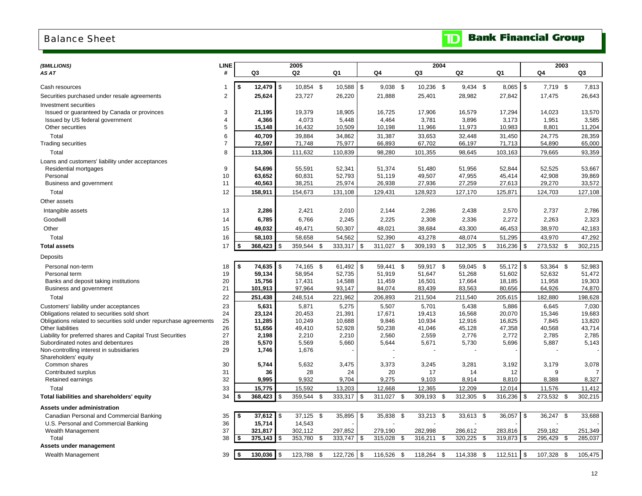### <span id="page-14-0"></span>Balance Sheet

# **TD** Bank Financial Group

| (\$MILLIONS)                                                       | <b>LINE</b>         |                  |                | 2005             |      |                  |      |                  |      | 2004             |     |                  |      |                  |            | 2003             |      |                  |
|--------------------------------------------------------------------|---------------------|------------------|----------------|------------------|------|------------------|------|------------------|------|------------------|-----|------------------|------|------------------|------------|------------------|------|------------------|
| AS AT                                                              | #                   | Q3               |                | Q2               |      | Q1               |      | Q4               |      | Q3               |     | Q2               |      | Q1               |            | Q4               |      | Q3               |
|                                                                    |                     |                  |                |                  |      |                  |      |                  |      |                  |     |                  |      |                  |            |                  |      |                  |
| Cash resources                                                     |                     | \$<br>12,479     | $\sqrt{3}$     | 10,854 \$        |      | $10,588$ \ \$    |      | $9,038$ \$       |      | 10,236 \$        |     | $9,434$ \$       |      | $8,065$ \$       |            | 7,719 \$         |      | 7,813            |
| Securities purchased under resale agreements                       | $\overline{2}$      | 25,624           |                | 23,727           |      | 26,220           |      | 21,888           |      | 25,401           |     | 28,982           |      | 27,842           |            | 17,475           |      | 26,643           |
| Investment securities                                              |                     |                  |                |                  |      |                  |      |                  |      |                  |     |                  |      |                  |            |                  |      |                  |
| Issued or guaranteed by Canada or provinces                        | 3<br>$\overline{4}$ | 21,195<br>4,366  |                | 19,379<br>4,073  |      | 18,905           |      | 16,725           |      | 17,906           |     | 16,579<br>3,896  |      | 17,294           |            | 14,023           |      | 13,570<br>3,585  |
| Issued by US federal government<br>Other securities                | 5                   | 15,148           |                | 16,432           |      | 5,448<br>10,509  |      | 4,464<br>10,198  |      | 3,781<br>11,966  |     | 11,973           |      | 3,173<br>10,983  |            | 1,951<br>8,801   |      | 11,204           |
|                                                                    |                     |                  |                |                  |      |                  |      |                  |      |                  |     |                  |      |                  |            |                  |      |                  |
| Total<br><b>Trading securities</b>                                 | 6<br>$\overline{7}$ | 40,709<br>72,597 |                | 39,884<br>71,748 |      | 34,862<br>75,977 |      | 31,387<br>66,893 |      | 33,653<br>67,702 |     | 32,448<br>66,197 |      | 31,450<br>71,713 |            | 24,775<br>54,890 |      | 28,359<br>65,000 |
| Total                                                              | 8                   | 113,306          |                | 111,632          |      |                  |      | 98,280           |      | 101,355          |     | 98,645           |      | 103,163          |            | 79,665           |      | 93,359           |
|                                                                    |                     |                  |                |                  |      | 110,839          |      |                  |      |                  |     |                  |      |                  |            |                  |      |                  |
| Loans and customers' liability under acceptances                   | 9                   | 54,696           |                | 55,591           |      | 52,341           |      | 51,374           |      | 51,480           |     | 51,956           |      | 52,844           |            | 52,525           |      | 53,667           |
| Residential mortgages<br>Personal                                  | 10                  | 63,652           |                | 60,831           |      | 52.793           |      | 51,119           |      | 49,507           |     | 47,955           |      | 45.414           |            | 42.908           |      | 39,869           |
| Business and government                                            | 11                  | 40,563           |                | 38,251           |      | 25,974           |      | 26,938           |      | 27,936           |     | 27,259           |      | 27,613           |            | 29,270           |      | 33,572           |
| Total                                                              | 12                  | 158,911          |                | 154,673          |      | 131,108          |      | 129,431          |      | 128,923          |     | 127,170          |      | 125,871          |            | 124,703          |      | 127,108          |
| Other assets                                                       |                     |                  |                |                  |      |                  |      |                  |      |                  |     |                  |      |                  |            |                  |      |                  |
| Intangible assets                                                  | 13                  | 2,286            |                | 2,421            |      | 2,010            |      | 2,144            |      | 2,286            |     | 2,438            |      | 2,570            |            | 2,737            |      | 2,786            |
| Goodwill                                                           | 14                  | 6,785            |                | 6,766            |      | 2,245            |      | 2,225            |      | 2,308            |     | 2,336            |      | 2,272            |            | 2,263            |      | 2,323            |
| Other                                                              | 15                  | 49,032           |                | 49,471           |      | 50,307           |      | 48,021           |      | 38,684           |     | 43,300           |      | 46,453           |            | 38,970           |      | 42,183           |
| Total                                                              | 16                  | 58,103           |                | 58,658           |      | 54,562           |      | 52,390           |      | 43,278           |     | 48,074           |      | 51,295           |            | 43,970           |      | 47,292           |
| <b>Total assets</b>                                                | 17                  | 368,423<br>\$    | \$             | 359,544          | \$   | 333,317          | \$   | 311,027          | \$   | 309,193          | \$  | 312,305          | \$   | 316,236          | <b>S</b>   | 273,532          | \$   | 302,215          |
| Deposits                                                           |                     |                  |                |                  |      |                  |      |                  |      |                  |     |                  |      |                  |            |                  |      |                  |
|                                                                    |                     | \$<br>74,635     | $\mathfrak s$  | 74,165 \$        |      | 61,492           | \$   | 59,441 \$        |      | 59,917 \$        |     | 59,045           | - \$ | 55,172 \$        |            | 53,364 \$        |      | 52,983           |
| Personal non-term<br>Personal term                                 | 18<br>19            | 59,134           |                | 58,954           |      | 52,735           |      | 51,919           |      | 51,647           |     | 51,268           |      | 51,602           |            | 52,632           |      | 51,472           |
| Banks and deposit taking institutions                              | 20                  | 15,756           |                | 17,431           |      | 14,588           |      | 11,459           |      | 16,501           |     | 17,664           |      | 18,185           |            | 11,958           |      | 19,303           |
| Business and government                                            | 21                  | 101,913          |                | 97,964           |      | 93,147           |      | 84,074           |      | 83,439           |     | 83,563           |      | 80,656           |            | 64,926           |      | 74,870           |
| Total                                                              | 22                  | 251,438          |                | 248,514          |      | 221,962          |      | 206,893          |      | 211,504          |     | 211,540          |      | 205,615          |            | 182,880          |      | 198,628          |
| Customers' liability under acceptances                             | 23                  | 5,631            |                | 5,871            |      | 5,275            |      | 5,507            |      | 5,701            |     | 5,438            |      | 5,886            |            | 6,645            |      | 7,030            |
| Obligations related to securities sold short                       | 24                  | 23,124           |                | 20,453           |      | 21,391           |      | 17,671           |      | 19,413           |     | 16,568           |      | 20,070           |            | 15,346           |      | 19,683           |
| Obligations related to securities sold under repurchase agreements | 25                  | 11,285           |                | 10,249           |      | 10,688           |      | 9,846            |      | 10,934           |     | 12,916           |      | 16,825           |            | 7,845            |      | 13,820           |
| Other liabilities                                                  | 26                  | 51,656           |                | 49,410           |      | 52,928           |      | 50,238           |      | 41,046           |     | 45,128           |      | 47,358           |            | 40,568           |      | 43,714           |
| Liability for preferred shares and Capital Trust Securities        | 27                  | 2,198            |                | 2,210            |      | 2,210            |      | 2,560            |      | 2,559            |     | 2,776            |      | 2,772            |            | 2,785            |      | 2,785            |
| Subordinated notes and debentures                                  | 28                  | 5,570            |                | 5,569            |      | 5,660            |      | 5,644            |      | 5,671            |     | 5,730            |      | 5,696            |            | 5,887            |      | 5,143            |
| Non-controlling interest in subsidiaries                           | 29                  | 1,746            |                | 1,676            |      |                  |      |                  |      |                  |     |                  |      |                  |            |                  |      |                  |
| Shareholders' equity<br>Common shares                              | 30                  | 5,744            |                | 5,632            |      | 3,475            |      | 3,373            |      | 3,245            |     | 3,281            |      | 3,192            |            | 3,179            |      | 3,078            |
| Contributed surplus                                                | 31                  |                  | 36             | 28               |      | 24               |      | 20               |      | 17               |     | 14               |      | 12               |            | 9                |      | $\overline{7}$   |
| Retained earnings                                                  | 32                  | 9,995            |                | 9,932            |      | 9,704            |      | 9,275            |      | 9,103            |     | 8,914            |      | 8,810            |            | 8,388            |      | 8,327            |
| Total                                                              | 33                  | 15,775           |                | 15,592           |      | 13,203           |      | 12,668           |      | 12,365           |     | 12,209           |      | 12,014           |            | 11,576           |      | 11,412           |
| Total liabilities and shareholders' equity                         | 34                  | 368,423<br>\$    | \$             | 359,544          | \$   | 333,317          | \$   | 311,027 \$       |      | 309,193 \$       |     | 312,305          | \$   | 316,236          | $\sqrt{3}$ | 273,532          | - \$ | 302,215          |
| Assets under administration                                        |                     |                  |                |                  |      |                  |      |                  |      |                  |     |                  |      |                  |            |                  |      |                  |
| Canadian Personal and Commercial Banking                           | 35                  | \$<br>37,612     | $\sqrt{3}$     | 37,125 \$        |      | 35,895           | \$   | 35,838           | -\$  | 33,213 \$        |     | 33,613           | \$   | 36,057           | - \$       | 36,247           | -\$  | 33,688           |
| U.S. Personal and Commercial Banking                               | 36                  | 15,714           |                | 14,543           |      |                  |      |                  |      |                  |     |                  |      |                  |            |                  |      |                  |
| Wealth Management                                                  | 37                  | 321,817          |                | 302,112          |      | 297,852          |      | 279,190          |      | 282,998          |     | 286,612          |      | 283,816          |            | 259,182          |      | 251,349          |
| Total                                                              | 38                  | 375,143<br>\$    | \$             | 353,780          | - \$ | 333,747          | - \$ | 315,028          | -\$  | 316,211          | -\$ | 320,225          | \$   | 319,873          | l \$       | 295,429          | -\$  | 285,037          |
| Assets under management                                            |                     |                  |                |                  |      |                  |      |                  |      |                  |     |                  |      |                  |            |                  |      |                  |
| Wealth Management                                                  | 39                  | 130,036<br>\$    | $\mathfrak{s}$ | 123,788 \$       |      | 122,726          | l \$ | 116,526          | - \$ | 118,264 \$       |     | 114,338          | \$   | 112,511          | $\sqrt{3}$ | 107,328          | -\$  | 105,475          |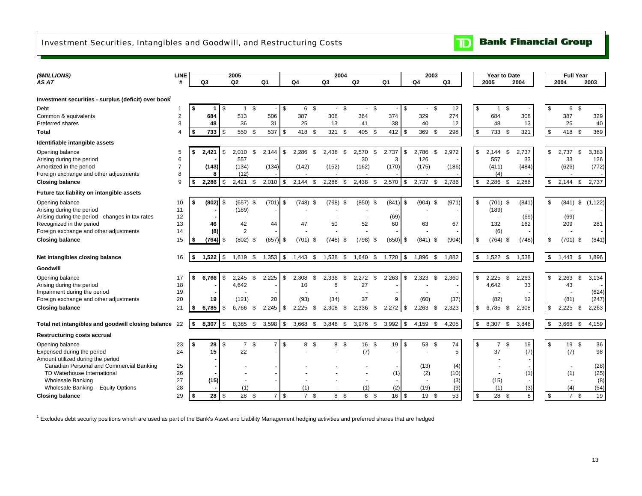## <span id="page-15-0"></span>Investment Securities, Intangibles and Goodwill, and Restructuring Costs

| (\$MILLIONS)                                                                  | <b>LINE</b>             |     |            |      | 2005           |      |                |               |            |     | 2004       |      |                |      |            |            | 2003                 |                |     |       | Year to Date         |       |                           |            | <b>Full Year</b> |            |
|-------------------------------------------------------------------------------|-------------------------|-----|------------|------|----------------|------|----------------|---------------|------------|-----|------------|------|----------------|------|------------|------------|----------------------|----------------|-----|-------|----------------------|-------|---------------------------|------------|------------------|------------|
| AS AT                                                                         | #                       |     | Q3         |      | Q <sub>2</sub> |      | Q <sub>1</sub> |               | Q4         |     | Q3         |      | Q <sub>2</sub> |      | Q1         |            | Q4                   | Q <sub>3</sub> |     | 2005  |                      | 2004  |                           | 2004       |                  | 2003       |
|                                                                               |                         |     |            |      |                |      |                |               |            |     |            |      |                |      |            |            |                      |                |     |       |                      |       |                           |            |                  |            |
| Investment securities - surplus (deficit) over book                           |                         |     |            |      |                |      |                |               |            |     |            |      |                |      |            |            |                      |                |     |       |                      |       |                           |            |                  |            |
| Debt                                                                          |                         | -\$ | 1          | -\$  | $\mathbf{1}$   | \$   |                | \$            | 6 \$       |     | $\sim$     | - \$ | $\blacksquare$ | - \$ |            | \$         | \$<br>$\blacksquare$ | 12             | \$  |       | \$<br>$\mathbf{1}$   |       | \$                        | 6          | \$               |            |
| Common & equivalents                                                          | $\overline{\mathbf{c}}$ |     | 684        |      | 513            |      | 506            |               | 387        |     | 308        |      | 364            |      | 374        |            | 329                  | 274            |     | 684   |                      | 308   |                           | 387        |                  | 329        |
| Preferred shares                                                              | 3                       |     | 48         |      | 36             |      | 31             |               | 25         |     | 13         |      | 41             |      | 38         |            | 40                   | 12             |     | 48    |                      | 13    |                           | 25         |                  | 40         |
| <b>Total</b>                                                                  | 4                       | -\$ | 733        | -\$  | 550            | -\$  | 537            | \$            | 418        | -\$ | 321        | \$   | 405            | -\$  | 412        | \$         | 369<br>- \$          | 298            | \$  | 733   | - \$                 | 321   | \$                        | 418        | \$               | 369        |
| Identifiable intangible assets                                                |                         |     |            |      |                |      |                |               |            |     |            |      |                |      |            |            |                      |                |     |       |                      |       |                           |            |                  |            |
| Opening balance                                                               | 5                       |     | 2,421      | - 35 | 2,010          | -\$  | 2,144          | \$            | 2,286      | -\$ | 2,438      | -S   | 2,570          | -\$  | 2,737      | \$         | 2,786<br>- \$        | 2,972          | \$  | 2,144 | \$                   | 2,737 | \$                        | 2,737      | \$               | 3,383      |
| Arising during the period                                                     | 6                       |     |            |      | 557            |      |                |               |            |     |            |      | 30             |      | 3          |            | 126                  |                |     | 557   |                      | 33    |                           | 33         |                  | 126        |
| Amortized in the period                                                       | $\overline{7}$          |     | (143)<br>8 |      | (134)          |      | (134)          |               | (142)      |     | (152)      |      | (162)          |      | (170)      |            | (175)                | (186)          |     | (411) |                      | (484) |                           | (626)      |                  | (772)      |
| Foreign exchange and other adjustments                                        | 8<br>9                  |     | 2.286      | \$.  | (12)<br>2.421  | \$.  |                |               |            |     | 2,286      | \$.  |                | -S   |            | \$         | \$                   |                | \$. | 2.286 | (4)<br>\$            |       | \$                        | 2.144      |                  |            |
| <b>Closing balance</b>                                                        |                         |     |            |      |                |      | 2,010          | \$            | 2,144      | -\$ |            |      | 2,438          |      | 2,570      |            | 2,737                | 2,786          |     |       |                      | 2,286 |                           |            | \$               | 2,737      |
| Future tax liability on intangible assets                                     |                         |     |            |      |                |      |                |               |            |     |            |      |                |      |            |            |                      |                |     |       |                      |       |                           |            |                  |            |
| Opening balance                                                               | 10                      | - 1 | $(802)$ \$ |      | $(657)$ \$     |      | (701)          | \$            | $(748)$ \$ |     | $(798)$ \$ |      | $(850)$ \$     |      | (841)      | \$         | $(904)$ \$           | (971)          | \$  |       | $(701)$ \$           | (841) | \$                        | (841)      | \$               | (1, 122)   |
| Arising during the period<br>Arising during the period - changes in tax rates | 11<br>12                |     |            |      | (189)          |      |                |               |            |     |            |      |                |      | (69)       |            |                      |                |     | (189) |                      | (69)  |                           | (69)       |                  |            |
| Recognized in the period                                                      | 13                      |     | 46         |      | 42             |      | 44             |               | 47         |     | 50         |      | 52             |      | 60         |            | 63                   | 67             |     | 132   |                      | 162   |                           | 209        |                  | 281        |
| Foreign exchange and other adjustments                                        | 14                      |     | (8)        |      | $\overline{2}$ |      |                |               |            |     |            |      |                |      |            |            |                      |                |     |       | (6)                  |       |                           |            |                  |            |
| <b>Closing balance</b>                                                        | 15                      | \$  | $(764)$ \$ |      | (802)          | - \$ | (657)          | \$            | (701)      | -\$ | $(748)$ \$ |      | $(798)$ \$     |      | $(850)$ \$ |            | $(841)$ \$           | (904)          | \$  |       | $(764)$ \$           | (748) | \$                        | $(701)$ \$ |                  | (841)      |
|                                                                               |                         |     |            |      |                |      |                |               |            |     |            |      |                |      |            |            |                      |                |     |       |                      |       |                           |            |                  |            |
| Net intangibles closing balance                                               | 16                      | \$  | 1,522      | \$   | 1,619          | \$   | 1,353          | \$            | 1,443      | \$  | 1,538      | \$   | 1,640          | - \$ | 1,720      | \$         | 1,896<br>\$          | 1,882          | \$  | 1,522 | - \$                 | 1,538 | \$                        | 1,443      | \$               | 1,896      |
| Goodwill                                                                      |                         |     |            |      |                |      |                |               |            |     |            |      |                |      |            |            |                      |                |     |       |                      |       |                           |            |                  |            |
| Opening balance                                                               | 17                      | \$  | 6,766      | -\$  | 2,245          | \$   | 2,225          | \$            | 2,308      | \$  | 2,336      | \$   | 2,272          | \$   | 2,263      | \$         | 2,323<br>\$          | 2,360          | \$  | 2,225 | \$                   | 2,263 | \$                        | 2,263      | \$               | 3,134      |
| Arising during the period                                                     | 18                      |     |            |      | 4,642          |      |                |               | 10         |     | 6          |      | 27             |      |            |            |                      |                |     | 4,642 |                      | 33    |                           | 43         |                  |            |
| Impairment during the period                                                  | 19                      |     |            |      |                |      |                |               |            |     |            |      |                |      |            |            |                      |                |     |       |                      |       |                           |            |                  | (624)      |
| Foreign exchange and other adjustments                                        | 20                      |     | 19         |      | (121)          |      | 20             |               | (93)       |     | (34)       |      | 37             |      | 9          |            | (60)                 | (37)           |     | (82)  |                      | 12    |                           | (81)       |                  | (247)      |
| <b>Closing balance</b>                                                        | 21                      | \$  | 6.785      | -S   | 6,766          | -\$  | 2,245          | \$            | 2,225      | \$  | 2,308      | \$   | 2,336          | -\$  | 2,272      | \$         | 2.263<br>- \$        | 2,323          | \$  | 6,785 | - \$                 | 2,308 | \$                        | 2,225      | -\$              | 2,263      |
| Total net intangibles and goodwill closing balance                            | 22                      | \$  | 8,307      | l \$ | 8,385          | \$   | 3,598          | \$            | 3,668      | \$  | 3,846      | -S   | 3,976          | - \$ | 3,992      | \$         | 4,159<br>- \$        | 4,205          | \$  | 8,307 | \$                   | 3,846 | $\boldsymbol{\mathsf{S}}$ | 3,668      | \$               | 4,159      |
| <b>Restructuring costs accrual</b>                                            |                         |     |            |      |                |      |                |               |            |     |            |      |                |      |            |            |                      |                |     |       |                      |       |                           |            |                  |            |
| Opening balance                                                               | 23                      | \$  | 28         | \$   | $\overline{7}$ | \$   | $\overline{7}$ | \$            | 8          | \$  | 8          | - \$ | 16 \$          |      | 19         | \$         | 53 \$                | 74             | \$  |       | $\overline{7}$<br>\$ | 19    | \$                        | 19         | \$               | 36         |
| Expensed during the period                                                    | 24                      |     | 15         |      | 22             |      |                |               |            |     |            |      | (7)            |      |            |            |                      | 5              |     | 37    |                      | (7)   |                           | (7)        |                  | 98         |
| Amount utilized during the period                                             |                         |     |            |      |                |      |                |               |            |     |            |      |                |      |            |            |                      |                |     |       |                      |       |                           |            |                  |            |
| Canadian Personal and Commercial Banking                                      | 25                      |     |            |      |                |      |                |               |            |     |            |      |                |      |            |            | (13)                 | (4)            |     |       |                      |       |                           |            |                  | (28)       |
| TD Waterhouse International                                                   | 26                      |     |            |      |                |      |                |               |            |     |            |      |                |      | (1)        |            | (2)                  | (10)           |     |       |                      | (1)   |                           | (1)        |                  | (25)       |
| <b>Wholesale Banking</b><br>Wholesale Banking - Equity Options                | 27<br>28                |     | (15)       |      |                |      |                |               |            |     |            |      | (1)            |      | (2)        |            | (19)                 | (3)<br>(9)     |     | (15)  |                      | (3)   |                           | (4)        |                  | (8)        |
|                                                                               | 29                      |     | 28         |      | (1)<br>28      | - \$ | $\overline{7}$ | $\mathfrak s$ | (1)<br>7S  |     | 8 \$       |      | 8 \$           |      | 16         | $\sqrt{3}$ | 19 \$                | 53             | \$  |       | (1)<br>28 \$         | 8     | \$                        | 7S         |                  | (54)<br>19 |
| <b>Closing balance</b>                                                        |                         | \$  |            | \$   |                |      |                |               |            |     |            |      |                |      |            |            |                      |                |     |       |                      |       |                           |            |                  |            |

<sup>1</sup> Excludes debt security positions which are used as part of the Bank's Asset and Liability Management hedging activities and preferred shares that are hedged

**Bank Financial Group** 

 $\mathbb{D}$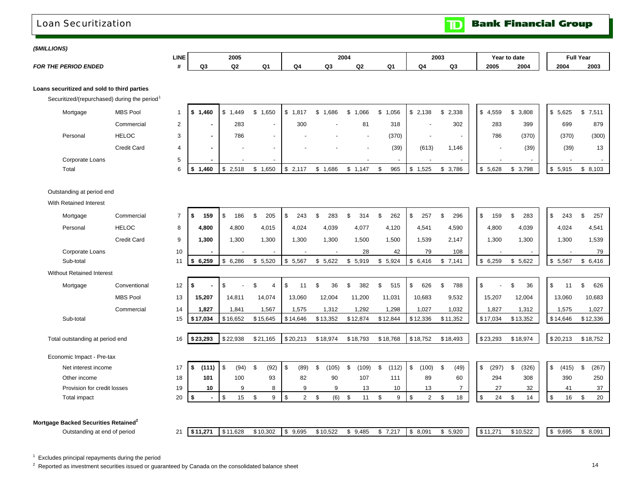### <span id="page-16-0"></span>Loan Securitization

**Bank Financial Group**  $\mathbf{D}$ 

ת ר

### *(\$MILLIONS)*

|                             | LINE |    | 2005 |           |   | 2004         |                    |    | 2003 |    |      | Year to date | <b>Full Year</b> |      |
|-----------------------------|------|----|------|-----------|---|--------------|--------------------|----|------|----|------|--------------|------------------|------|
| <b>FOR THE PERIOD ENDED</b> |      | nз | Q2   | $\Omega1$ | w | $\sim$<br>u. | $\sim$<br>w.<br>-- | n. | IJА  | Q3 | 2005 | 2004         | 2004             | 2003 |

### **Loans securitized and sold to third parties**

Securitized/(repurchased) during the period<sup>1</sup>

| Mortgage        | <b>MBS Pool</b> |                    | 1.460 | . 449 | .650                     | 1,817<br>S.              | 1,686                    | ,066     | ,056<br>J. | 2,138 | 2,338  | 4,559 | 3,808                              | 5,625<br>\$ | \$7,511 |
|-----------------|-----------------|--------------------|-------|-------|--------------------------|--------------------------|--------------------------|----------|------------|-------|--------|-------|------------------------------------|-------------|---------|
|                 | Commercial      | $\sim$<br><u>_</u> |       | 283   | $\sim$                   | 300                      |                          | 81       | 318        |       | 302    |       | 283<br>399                         | 699         | 879     |
| Personal        | <b>HELOC</b>    | ົ                  |       | 786   | $\overline{\phantom{a}}$ |                          | $\overline{\phantom{a}}$ |          | (370)      |       | $\sim$ |       | 786<br>(370)                       | (370)       | (300)   |
|                 | Credit Card     |                    |       |       | $\overline{\phantom{a}}$ | $\overline{\phantom{a}}$ | $\overline{\phantom{0}}$ |          | (39)       | (613) | 1,146  |       | (39)<br>$\overline{\phantom{0}}$   | (39)        | 13      |
| Corporate Loans |                 |                    |       |       | $\overline{\phantom{a}}$ |                          |                          | <b>.</b> |            |       | $\sim$ |       | $\overline{\phantom{a}}$<br>$\sim$ |             |         |
| Total           |                 | 6.                 | 1.460 | 2.518 | .650                     |                          | .686                     | .147     | 965        | .525  | 3,786  | 5,628 | \$3,798                            | \$ 5.915    | \$8,103 |

### Outstanding at period end

With Retained Interest

| Mortgage                                         | Commercial         | $\overline{7}$ | \$<br>159   | \$<br>186                          | \$<br>205            | -\$<br>243  | 283          | 314         | 262         | 257<br>\$   | 296            | \$<br>159   | 283                      | \$<br>243             | \$<br>257   |
|--------------------------------------------------|--------------------|----------------|-------------|------------------------------------|----------------------|-------------|--------------|-------------|-------------|-------------|----------------|-------------|--------------------------|-----------------------|-------------|
| Personal                                         | <b>HELOC</b>       | 8              | 4,800       | 4,800                              | 4,015                | 4,024       | 4,039        | 4,077       | 4,120       | 4,541       | 4,590          | 4,800       | 4,039                    | 4,024                 | 4,541       |
|                                                  | <b>Credit Card</b> | 9              | 1,300       | 1,300                              | 1,300                | 1,300       | 1,300        | 1,500       | 1,500       | 1,539       | 2,147          | 1,300       | 1,300                    | 1,300                 | 1,539       |
| Corporate Loans                                  |                    | 10             |             |                                    |                      |             |              | 28          | 42          | 79          | 108            |             | $\overline{\phantom{a}}$ |                       | 79          |
| Sub-total                                        |                    | 11             | 6,259<br>\$ | 6,286<br>\$                        | \$<br>5,520          | \$<br>5,567 | \$5,622      | 5,919<br>\$ | \$5,924     | \$6,416     | \$7,141        | \$6,259     | \$<br>5,622              | \$5,567               | \$6,416     |
| <b>Without Retained Interest</b>                 |                    |                |             |                                    |                      |             |              |             |             |             |                |             |                          |                       |             |
| Mortgage                                         | Conventional       | 12             | \$          | \$                                 | \$<br>$\overline{4}$ | \$          | 36<br>\$     | 382<br>\$   | \$<br>515   | 626<br>\$   | 788            | \$          | 36<br>\$                 | \$<br>11              | \$<br>626   |
|                                                  | <b>MBS Pool</b>    | 13             | 15,207      | 14,811                             | 14,074               | 13,060      | 12,004       | 11,200      | 11,031      | 10,683      | 9,532          | 15,207      | 12,004                   | 13,060                | 10,683      |
|                                                  | Commercial         | 14             | 1,827       | 1,841                              | 1,567                | 1,575       | 1,312        | 1,292       | 1,298       | 1,027       | 1,032          | 1,827       | 1,312                    | 1,575                 | 1,027       |
| Sub-total                                        |                    | 15             | \$17,034    | \$16,652                           | \$15,645             | \$14,646    | \$13,352     | \$12,874    | \$12,844    | \$12,336    | \$11,352       | \$17,034    | \$13,352                 | \$14,646              | \$12,336    |
|                                                  |                    |                |             |                                    |                      |             |              |             |             |             |                |             |                          |                       |             |
| Total outstanding at period end                  |                    | 16             | \$23,293    | \$22,938                           | \$21,165             | \$20,213    | \$18,974     | \$18,793    | \$18,768    | \$18,752    | \$18,493       | \$23,293    | \$18,974                 | \$20,213              | \$18,752    |
| Economic Impact - Pre-tax                        |                    |                |             |                                    |                      |             |              |             |             |             |                |             |                          |                       |             |
| Net interest income                              |                    | 17             | \$<br>(111) | $\overline{\phantom{a}}$ s<br>(94) | \$<br>(92)           | -\$<br>(89) | (105)<br>\$. | (109)<br>£. | (112)<br>\$ | \$<br>(100) | \$<br>(49)     | \$<br>(297) | \$.<br>(326)             | $\mathbb{S}$<br>(415) | \$<br>(267) |
| Other income                                     |                    | 18             | 101         | 100                                | 93                   | 82          | 90           | 107         | 111         | 89          | 60             | 294         | 308                      | 390                   | 250         |
| Provision for credit losses                      |                    | 19             | 10          | 9                                  | 8                    | 9           | 9            | 13          | 10          | 13          | $\overline{7}$ | 27          | 32                       | 41                    | 37          |
| Total impact                                     |                    | 20             | \$          | \$<br>15                           | \$<br>9              | \$<br>2     | (6)<br>\$    | \$<br>11    | \$<br>9     | \$<br>2     | 18<br>\$       | 24<br>\$    | 14<br>\$                 | \$<br>16              | 20<br>\$    |
|                                                  |                    |                |             |                                    |                      |             |              |             |             |             |                |             |                          |                       |             |
| Mortgage Backed Securities Retained <sup>2</sup> |                    |                |             |                                    |                      |             |              |             |             |             |                |             |                          |                       |             |
| Outstanding at end of period                     |                    | 21             | \$11,271    | \$11,628                           | \$10,302             | \$9,695     | \$10,522     | \$9,485     | \$7,217     | \$8,091     | \$5,920        | \$11,271    | \$10,522                 | \$9,695               | \$8,091     |

 $1$  Excludes principal repayments during the period

<sup>2</sup> Reported as investment securities issued or guaranteed by Canada on the consolidated balance sheet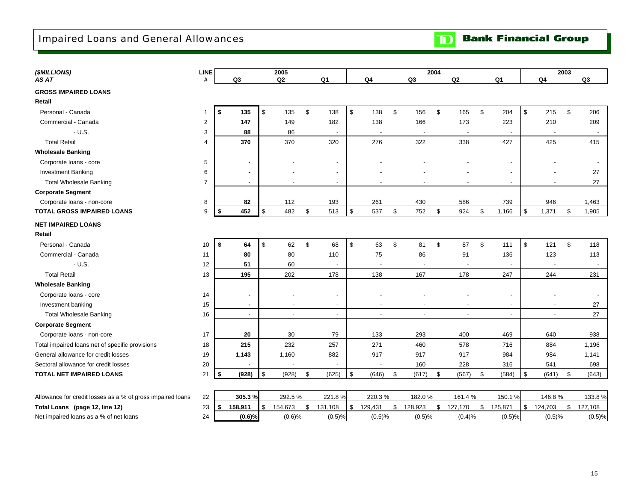<span id="page-17-0"></span>Impaired Loans and General Allowances

| (\$MILLIONS)                                               | LINE           |                | 2005                     |               |                          |                           |                          |               | 2004                     |                   |                          |               |                          |                         |                          | 2003          |         |
|------------------------------------------------------------|----------------|----------------|--------------------------|---------------|--------------------------|---------------------------|--------------------------|---------------|--------------------------|-------------------|--------------------------|---------------|--------------------------|-------------------------|--------------------------|---------------|---------|
| AS AT                                                      | #              | Q3             | Q2                       |               | Q <sub>1</sub>           |                           | Q <sub>4</sub>           |               | Q3                       |                   | Q2                       |               | Q <sub>1</sub>           |                         | Q <sub>4</sub>           |               | Q3      |
| <b>GROSS IMPAIRED LOANS</b>                                |                |                |                          |               |                          |                           |                          |               |                          |                   |                          |               |                          |                         |                          |               |         |
| Retail                                                     |                |                |                          |               |                          |                           |                          |               |                          |                   |                          |               |                          |                         |                          |               |         |
| Personal - Canada                                          | 1              | \$<br>135      | \$<br>135                | \$            | 138                      | $\sqrt[6]{\frac{1}{2}}$   | 138                      | $\mathfrak s$ | 156                      | $\mathfrak s$     | 165                      | $\mathfrak s$ | 204                      | $\sqrt[6]{\frac{1}{2}}$ | 215                      | $\mathfrak s$ | 206     |
| Commercial - Canada                                        | $\overline{2}$ | 147            | 149                      |               | 182                      |                           | 138                      |               | 166                      |                   | 173                      |               | 223                      |                         | 210                      |               | 209     |
| $- U.S.$                                                   | 3              | 88             | 86                       |               |                          |                           | $\overline{\phantom{a}}$ |               | $\overline{a}$           |                   | $\overline{\phantom{a}}$ |               | $\overline{\phantom{a}}$ |                         | $\overline{\phantom{a}}$ |               | $\sim$  |
| <b>Total Retail</b>                                        | 4              | 370            | 370                      |               | 320                      |                           | 276                      |               | 322                      |                   | 338                      |               | 427                      |                         | 425                      |               | 415     |
| <b>Wholesale Banking</b>                                   |                |                |                          |               |                          |                           |                          |               |                          |                   |                          |               |                          |                         |                          |               |         |
| Corporate loans - core                                     | 5              | $\blacksquare$ |                          |               | $\overline{\phantom{a}}$ |                           |                          |               |                          |                   |                          |               |                          |                         |                          |               |         |
| <b>Investment Banking</b>                                  | 6              | $\sim$         | $\overline{\phantom{a}}$ |               | $\blacksquare$           |                           | $\overline{\phantom{a}}$ |               |                          |                   | $\overline{\phantom{a}}$ |               | $\sim$                   |                         | $\overline{\phantom{a}}$ |               | 27      |
| <b>Total Wholesale Banking</b>                             | $\overline{7}$ | $\sim$         | $\blacksquare$           |               | $\overline{\phantom{a}}$ |                           | $\overline{\phantom{a}}$ |               | $\blacksquare$           |                   | $\overline{\phantom{a}}$ |               | $\sim$                   |                         | $\overline{\phantom{a}}$ |               | 27      |
| <b>Corporate Segment</b>                                   |                |                |                          |               |                          |                           |                          |               |                          |                   |                          |               |                          |                         |                          |               |         |
| Corporate loans - non-core                                 | 8              | 82             | 112                      |               | 193                      |                           | 261                      |               | 430                      |                   | 586                      |               | 739                      |                         | 946                      |               | 1,463   |
| <b>TOTAL GROSS IMPAIRED LOANS</b>                          | 9              | 452<br>\$      | \$<br>482                | \$            | 513                      | $\boldsymbol{\mathsf{S}}$ | 537                      | $\mathfrak s$ | 752                      | $\boldsymbol{\$}$ | 924                      | $\mathfrak s$ | 1,166                    | $\mathsf{\$}$           | 1,371                    | \$            | 1,905   |
| <b>NET IMPAIRED LOANS</b>                                  |                |                |                          |               |                          |                           |                          |               |                          |                   |                          |               |                          |                         |                          |               |         |
| Retail                                                     |                |                |                          |               |                          |                           |                          |               |                          |                   |                          |               |                          |                         |                          |               |         |
| Personal - Canada                                          | 10             | \$<br>64       | \$<br>62                 | $\mathfrak s$ | 68                       | $\mathfrak s$             | 63                       | $\mathfrak s$ | 81                       | $\mathfrak s$     | 87                       | $\mathfrak s$ | 111                      | $\mathsf{\$}$           | 121                      | $\mathfrak s$ | 118     |
| Commercial - Canada                                        | 11             | 80             | 80                       |               | 110                      |                           | 75                       |               | 86                       |                   | 91                       |               | 136                      |                         | 123                      |               | 113     |
| $- U.S.$                                                   | 12             | 51             | 60                       |               |                          |                           | $\overline{\phantom{a}}$ |               | $\overline{\phantom{a}}$ |                   | $\overline{\phantom{a}}$ |               | $\blacksquare$           |                         | $\overline{\phantom{a}}$ |               | $\sim$  |
| <b>Total Retail</b>                                        | 13             | 195            | 202                      |               | 178                      |                           | 138                      |               | 167                      |                   | 178                      |               | 247                      |                         | 244                      |               | 231     |
| <b>Wholesale Banking</b>                                   |                |                |                          |               |                          |                           |                          |               |                          |                   |                          |               |                          |                         |                          |               |         |
| Corporate loans - core                                     | 14             | $\blacksquare$ |                          |               | $\overline{\phantom{a}}$ |                           |                          |               |                          |                   |                          |               |                          |                         |                          |               |         |
| Investment banking                                         | 15             | $\sim$         | $\overline{\phantom{a}}$ |               | $\blacksquare$           |                           | $\overline{\phantom{a}}$ |               |                          |                   | $\overline{\phantom{a}}$ |               | $\sim$                   |                         | $\overline{\phantom{a}}$ |               | 27      |
| <b>Total Wholesale Banking</b>                             | 16             | $\sim$         | $\blacksquare$           |               | $\blacksquare$           |                           | $\overline{\phantom{a}}$ |               | $\blacksquare$           |                   | $\sim$                   |               | $\sim$                   |                         | $\blacksquare$           |               | 27      |
| <b>Corporate Segment</b>                                   |                |                |                          |               |                          |                           |                          |               |                          |                   |                          |               |                          |                         |                          |               |         |
| Corporate loans - non-core                                 | 17             | 20             | 30                       |               | 79                       |                           | 133                      |               | 293                      |                   | 400                      |               | 469                      |                         | 640                      |               | 938     |
| Total impaired loans net of specific provisions            | 18             | 215            | 232                      |               | 257                      |                           | 271                      |               | 460                      |                   | 578                      |               | 716                      |                         | 884                      |               | 1,196   |
| General allowance for credit losses                        | 19             | 1,143          | 1,160                    |               | 882                      |                           | 917                      |               | 917                      |                   | 917                      |               | 984                      |                         | 984                      |               | 1,141   |
| Sectoral allowance for credit losses                       | 20             |                |                          |               |                          |                           |                          |               | 160                      |                   | 228                      |               | 316                      |                         | 541                      |               | 698     |
| TOTAL NET IMPAIRED LOANS                                   | 21             | (928)<br>\$    | \$<br>(928)              | \$            | (625)                    | \$                        | (646)                    | \$            | (617)                    | \$                | (567)                    | \$            | (584)                    | \$                      | (641)                    | \$            | (643)   |
|                                                            |                |                |                          |               |                          |                           |                          |               |                          |                   |                          |               |                          |                         |                          |               |         |
| Allowance for credit losses as a % of gross impaired loans | 22             | 305.3%         | 292.5%                   |               | 221.8%                   |                           | 220.3%                   |               | 182.0%                   |                   | 161.4%                   |               | 150.1%                   |                         | 146.8%                   |               | 133.8%  |
| Total Loans (page 12, line 12)                             | 23             | \$<br>158,911  | \$<br>154,673            | \$            | 131,108                  | \$                        | 129,431                  | \$            | 128,923                  | \$                | 127,170                  | \$            | 125,871                  | \$                      | 124,703                  | \$            | 127,108 |
| Net impaired loans as a % of net loans                     | 24             | (0.6)%         | (0.6)%                   |               | (0.5)%                   |                           | (0.5)%                   |               | (0.5)%                   |                   | $(0.4)\%$                |               | (0.5)%                   |                         | (0.5)%                   |               | (0.5)%  |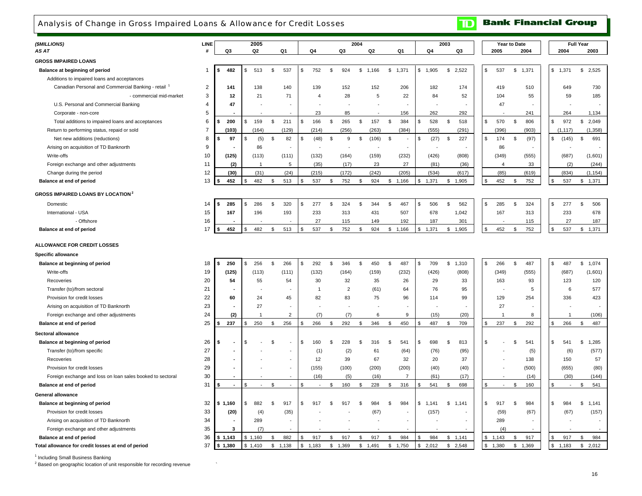## <span id="page-18-0"></span>Analysis of Change in Gross Impaired Loans & Allowance for Credit Losses

| (\$MILLIONS)<br>AS AT                                           | <b>LINE</b><br>Н. | Q3                   | 2005<br>Q2            | Q1             | Q4                    |                | Q3                       | 2004           | Q2                       | Q1                      | Q4          | 2003<br>Q3            |     | 2005           | Year to Date<br>2004 | 2004                 | <b>Full Year</b><br>2003 |
|-----------------------------------------------------------------|-------------------|----------------------|-----------------------|----------------|-----------------------|----------------|--------------------------|----------------|--------------------------|-------------------------|-------------|-----------------------|-----|----------------|----------------------|----------------------|--------------------------|
| <b>GROSS IMPAIRED LOANS</b>                                     |                   |                      |                       |                |                       |                |                          |                |                          |                         |             |                       |     |                |                      |                      |                          |
|                                                                 |                   |                      |                       |                |                       | $\mathbf{s}$   |                          |                |                          |                         |             |                       |     |                |                      |                      |                          |
| Balance at beginning of period                                  | -1                | 482<br>\$            | 513<br>S              | \$<br>537      | 752<br>\$.            |                | 924                      | $$\mathbb{S}$$ | 1,166                    | \$<br>1,371             | \$1,905     | \$<br>2.522           | \$  | 537            | \$<br>1,371          | \$<br>1,371          | \$2,525                  |
| Additions to impaired loans and acceptances                     | $\overline{2}$    |                      |                       |                |                       |                |                          |                |                          |                         |             |                       |     |                |                      |                      |                          |
| Canadian Personal and Commercial Banking - retail <sup>1</sup>  |                   | 141<br>12            | 138<br>21             | 140<br>71      | 139<br>$\overline{4}$ |                | 152<br>28                |                | 152<br>5                 | 206                     | 182<br>84   | 174                   |     | 419<br>104     | 510                  | 649                  | 730<br>185               |
| - commercial mid-market<br>U.S. Personal and Commercial Banking | 3<br>4            | 47                   |                       |                |                       |                |                          |                |                          | 22                      |             | 52                    |     | 47             | 55                   | 59                   |                          |
| Corporate - non-core                                            | 5                 |                      |                       |                | 23                    |                | 85                       |                |                          | 156                     | 262         | 292                   |     |                | 241                  | 264                  | 1,134                    |
| Total additions to impaired loans and acceptances               | 6                 | 200<br>\$            | 159<br>\$             | \$<br>211      | 166<br>\$             | \$             | 265                      | \$             | 157                      | \$<br>384               | \$<br>528   | 518<br>$\mathfrak{L}$ | \$  | 570            | \$<br>806            | \$<br>972            | \$<br>2,049              |
| Return to performing status, repaid or sold                     | $\overline{7}$    | (103)                | (164)                 | (129)          | (214)                 |                | (256)                    |                | (263)                    | (384)                   | (555)       | (291)                 |     | (396)          | (903)                | (1, 117)             | (1,358)                  |
| Net new additions (reductions)                                  | 8                 | 97<br>\$             | \$<br>(5)             | \$<br>82       | (48)<br>\$.           | \$             | 9                        | \$             | (106)                    | \$                      | \$<br>(27)  | 227<br>\$             | \$  | 174            | \$<br>(97)           | \$<br>(145)          | 691<br>\$                |
| Arising on acquisition of TD Banknorth                          | 9                 |                      | 86                    |                |                       |                | $\overline{\phantom{a}}$ |                | $\overline{\phantom{a}}$ |                         |             |                       |     | 86             |                      |                      |                          |
| Write-offs                                                      | 10                | (125)                | (113)                 | (111)          | (132)                 |                | (164)                    |                | (159)                    | (232)                   | (426)       | (808)                 |     | (349)          | (555)                | (687)                | (1,601)                  |
| Foreign exchange and other adjustments                          | 11                | (2)                  | $\mathbf{1}$          | 5              | (35)                  |                | (17)                     |                | 23                       | 27                      | (81)        | (36)                  |     | $\overline{4}$ | 33                   | (2)                  | (244)                    |
| Change during the period                                        | 12                | (30)                 | (31)                  | (24)           | (215)                 |                | (172)                    |                | (242)                    | (205)                   | (534)       | (617)                 |     | (85)           | (619)                | (834)                | (1, 154)                 |
| Balance at end of period                                        | 13                | 452                  | 482                   | \$<br>513      | 537                   | \$             | 752                      | \$             | 924                      | \$1,166                 | 1,371<br>\$ | 1,905<br>\$           |     | 452            | \$<br>752            | \$<br>537            | 1,371<br>\$              |
|                                                                 |                   |                      |                       |                |                       |                |                          |                |                          |                         |             |                       |     |                |                      |                      |                          |
| <b>GROSS IMPAIRED LOANS BY LOCATION<sup>2</sup></b>             |                   |                      |                       |                |                       |                |                          |                |                          |                         |             |                       |     |                |                      |                      |                          |
| Domestic                                                        | 14                | 285<br>\$            | 286<br>\$             | \$<br>320      | 277<br>\$.            | $\mathfrak{L}$ | 324                      | $\mathfrak{L}$ | 344                      | \$<br>467               | \$<br>506   | 562<br>\$             | £.  | 285            | \$<br>324            | \$<br>277            | \$<br>506                |
| International - USA                                             | 15                | 167                  | 196                   | 193            | 233                   |                | 313                      |                | 431                      | 507                     | 678         | 1,042                 |     | 167            | 313                  | 233                  | 678                      |
| - Offshore                                                      | 16                |                      |                       |                | 27                    |                | 115                      |                | 149                      | 192                     | 187         | 301                   |     |                | 115                  | 27                   | 187                      |
| Balance at end of period                                        | 17                | 452<br>Ŝ.            | 482<br>\$             | \$<br>513      | 537<br>\$             | \$             | 752                      | \$             | 924                      | \$1,166                 | 1,371<br>\$ | \$1,905               | \$  | 452            | 752<br>\$            | \$<br>537            | \$<br>1,371              |
| <b>ALLOWANCE FOR CREDIT LOSSES</b>                              |                   |                      |                       |                |                       |                |                          |                |                          |                         |             |                       |     |                |                      |                      |                          |
| Specific allowance                                              |                   |                      |                       |                |                       |                |                          |                |                          |                         |             |                       |     |                |                      |                      |                          |
| Balance at beginning of period                                  | 18                | 250<br>\$            | 256<br>\$             | \$<br>266      | 292<br>\$             | \$             | 346                      | \$             | 450                      | 487<br>\$               | \$<br>709   | 1,310<br>\$           | \$  | 266            | \$<br>487            | \$<br>487            | \$1,074                  |
| Write-offs                                                      | 19                | (125)                | (113)                 | (111)          | (132)                 |                | (164)                    |                | (159)                    | (232)                   | (426)       | (808)                 |     | (349)          | (555)                | (687)                | (1,601)                  |
| Recoveries                                                      | 20                | 54                   | 55                    | 54             | 30                    |                | 32                       |                | 35                       | 26                      | 29          | 33                    |     | 163            | 93                   | 123                  | 120                      |
| Transfer (to)/from sectoral                                     | 21                |                      |                       |                | -1                    |                | $\overline{2}$           |                | (61)                     | 64                      | 76          | 95                    |     |                | 5                    | 6                    | 577                      |
| Provision for credit losses                                     | 22                | 60                   | 24                    | 45             | 82                    |                | 83                       |                | 75                       | 96                      | 114         | 99                    |     | 129            | 254                  | 336                  | 423                      |
| Arising on acquisition of TD Banknorth                          | 23                |                      | 27                    |                |                       |                |                          |                |                          |                         |             |                       |     | 27             |                      |                      |                          |
| Foreign exchange and other adjustments                          | 24                | (2)                  |                       | $\overline{2}$ | (7)                   |                | (7)                      |                | 6                        | 9                       | (15)        | (20)                  |     |                | 8                    | $\overline{1}$       | (106)                    |
| Balance at end of period                                        | 25                | 237<br>\$            | 250<br>\$.            | \$<br>256      | 266                   | S.             | 292                      | \$             | 346                      | 450<br>\$               | 487<br>\$   | \$<br>709             | £.  | 237            | \$<br>292            | \$<br>266            | \$<br>487                |
| Sectoral allowance                                              |                   |                      |                       |                |                       |                |                          |                |                          |                         |             |                       |     |                |                      |                      |                          |
| Balance at beginning of period                                  | 26                | \$<br>$\blacksquare$ | \$                    | \$             | 160<br>\$             | $\mathfrak{L}$ | 228                      | $\mathfrak{s}$ | 316                      | 541<br>\$               | \$<br>698   | 813<br>$\mathfrak{L}$ | \$  |                | \$<br>541            | \$<br>541            | \$<br>1,285              |
| Transfer (to)/from specific                                     | 27                |                      |                       |                | (1)                   |                | (2)                      |                | 61                       | (64)                    | (76)        | (95)                  |     |                | (5)                  | (6)                  | (577)                    |
| Recoveries                                                      | 28                | ٠                    |                       |                | 12                    |                | 39                       |                | 67                       | 32                      | 20          | 37                    |     |                | 138                  | 150                  | 57                       |
| Provision for credit losses                                     | 29                |                      |                       |                | (155)                 |                | (100)                    |                | (200)                    | (200)                   | (40)        | (40)                  |     |                | (500)                | (655)                | (80)                     |
| Foreign exchange and loss on loan sales booked to sectoral      | 30                |                      |                       |                | (16)                  |                | (5)                      |                | (16)                     | $\overline{7}$          | (61)        | (17)                  |     |                | (14)                 | (30)                 | (144)                    |
| Balance at end of period                                        | 31                | $\sim$<br>S.         | $\overline{a}$<br>\$. | \$             | \$                    | \$             | 160                      | \$             | 228                      | 316<br>\$               | 541<br>\$.  | 698<br>\$             | \$. |                | \$<br>160            | \$<br>$\overline{a}$ | 541<br>\$                |
| General allowance                                               |                   |                      |                       |                |                       |                |                          |                |                          |                         |             |                       |     |                |                      |                      |                          |
| Balance at beginning of period                                  | 32                | \$1,160              | 882<br>\$             | \$<br>917      | \$.<br>917            |                | 917                      | \$.            | 984                      | 984<br>\$.              | \$1,141     | \$<br>1,141           | \$  | 917            | \$<br>984            | \$<br>984            | \$<br>1,141              |
| Provision for credit losses                                     | 33                | (20)                 | (4)                   | (35)           |                       |                |                          |                | (67)                     |                         | (157)       |                       |     | (59)           | (67)                 | (67)                 | (157)                    |
| Arising on acquisition of TD Banknorth                          | 34                | ä,                   | 289                   |                |                       |                |                          |                |                          | $\sim$                  |             | $\overline{a}$        |     | 289            |                      |                      |                          |
| Foreign exchange and other adjustments                          | 35                | 3                    | (7)                   |                |                       |                |                          |                |                          |                         |             |                       |     | (4)            |                      |                      |                          |
| Balance at end of period                                        | 36                | \$1,143              | \$1,160               | \$<br>882      | 917<br>£.             | \$             | 917                      | \$             | 917                      | 984<br>\$               | \$<br>984   | \$1,141               | \$  | 1,143          | 917<br>\$            | 917<br>\$.           | 984<br>\$                |
| Total allowance for credit losses at end of period              | 37                | \$1,380              | \$1,410               | \$<br>1,138    | \$<br>1,183           | \$             | 1,369                    | $$\mathbb{S}$$ | 1,491                    | $$\mathbb{S}$$<br>1,750 | \$<br>2,012 | \$2,548               | \$  | 1,380          | \$<br>1,369          | \$<br>1,183          | \$<br>2,012              |

<sup>1</sup> Including Small Business Banking

<sup>2</sup> Based on geographic location of unit responsible for recording revenue

**Bank Financial Group** 

 $\mathbf{D}$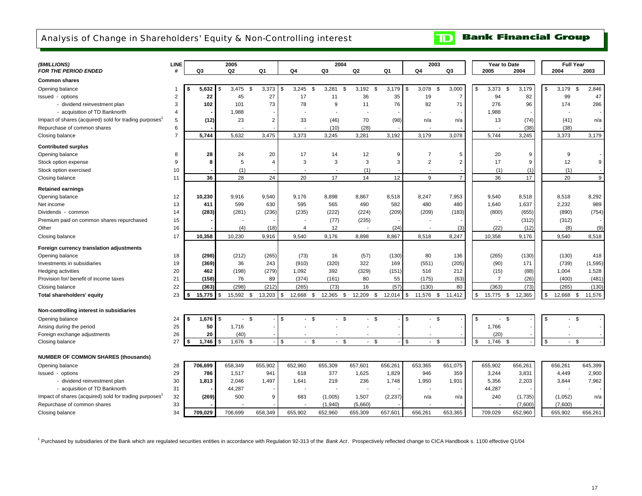# <span id="page-19-0"></span>Analysis of Change in Shareholders' Equity & Non-Controlling interest

#### **Bank Financial Group**  $\mathbf{D}$

| (\$MILLIONS)                                           | <b>LINE</b>    |              | 2005               |                |                            | 2004                     |                          |              | 2003                 |                       |                |                          | Year to Date | <b>Full Year</b>                                   |          |
|--------------------------------------------------------|----------------|--------------|--------------------|----------------|----------------------------|--------------------------|--------------------------|--------------|----------------------|-----------------------|----------------|--------------------------|--------------|----------------------------------------------------|----------|
| <b>FOR THE PERIOD ENDED</b>                            | #              | Q3           | Q2                 | Q1             | Q <sub>4</sub>             | Q3                       | Q <sub>2</sub>           | Q1           | Q4                   | Q3                    |                | 2005                     | 2004         | 2004                                               | 2003     |
| <b>Common shares</b>                                   |                |              |                    |                |                            |                          |                          |              |                      |                       |                |                          |              |                                                    |          |
| Opening balance                                        |                | 5,632        | 3,475<br>\$        | 3,373<br>\$    | \$<br>3,245<br>- \$        | 3,281<br>-S              | 3,192<br>- \$            | 3,179        | 3.078<br>\$          | 3,000<br>$\mathbf{s}$ | \$             | 3,373                    | 3.179<br>\$  | 3.179<br>\$                                        | 2,846    |
| Issued - options                                       | $\overline{2}$ | 22           | 45                 | 27             | 17                         | 11                       | 36                       | 35           | 19                   | $\overline{7}$        |                | 94                       | 82           | 99                                                 | 47       |
| - dividend reinvestment plan                           | 3              | 102          | 101                | 73             | 78                         | 9                        | 11                       | 76           | 82                   | 71                    |                | 276                      | 96           | 174                                                | 286      |
| - acquisition of TD Banknorth                          | $\overline{4}$ |              | 1,988              |                |                            |                          |                          |              |                      |                       |                | 1,988                    |              |                                                    |          |
| Impact of shares (acquired) sold for trading purposes' | 5              | (12)         | 23                 | $\overline{2}$ | 33                         | (46)                     | 70                       | (98)         | n/a                  | n/a                   |                | 13                       | (74)         | (41)                                               | n/a      |
| Repurchase of common shares                            | 6              |              |                    |                |                            | (10)                     | (28)                     |              |                      |                       |                |                          | (38)         | (38)                                               |          |
| Closing balance                                        | $\overline{7}$ | 5,744        | 5,632              | 3,475          | 3,373                      | 3,245                    | 3,281                    | 3,192        | 3,179                | 3,078                 |                | 5,744                    | 3,245        | 3,373                                              | 3,179    |
| <b>Contributed surplus</b>                             |                |              |                    |                |                            |                          |                          |              |                      |                       |                |                          |              |                                                    |          |
| Opening balance                                        | 8              | 28           | 24                 | 20             | 17                         | 14                       | 12                       | 9            | $\overline{7}$       | 5                     |                | 20                       | 9            | 9                                                  |          |
| Stock option expense                                   | 9              | 8            | 5                  | 4              | 3                          | 3                        | 3                        | 3            | $\overline{2}$       | $\overline{2}$        |                | 17                       | 9            | 12                                                 | 9        |
| Stock option exercised                                 | 10             |              | (1)                |                |                            | $\overline{\phantom{a}}$ | (1)                      |              |                      |                       |                | (1)                      | (1)          | (1)                                                |          |
| Closing balance                                        | 11             | 36           | 28                 | 24             | 20                         | 17                       | 14                       | 12           | 9                    | $\overline{7}$        |                | 36                       | 17           | 20                                                 | 9        |
| <b>Retained earnings</b>                               |                |              |                    |                |                            |                          |                          |              |                      |                       |                |                          |              |                                                    |          |
| Opening balance                                        | 12             | 10,230       | 9,916              | 9,540          | 9,176                      | 8,898                    | 8,867                    | 8,518        | 8,247                | 7,953                 |                | 9,540                    | 8,518        | 8,518                                              | 8,292    |
| Net income                                             | 13             | 411          | 599                | 630            | 595                        | 565                      | 490                      | 582          | 480                  | 480                   |                | 1,640                    | 1,637        | 2,232                                              | 989      |
| Dividends - common                                     | 14             | (283)        | (281)              | (236)          | (235)                      | (222)                    | (224)                    | (209)        | (209)                | (183)                 |                | (800)                    | (655)        | (890)                                              | (754)    |
| Premium paid on common shares repurchased              | 15             |              |                    |                |                            | (77)                     | (235)                    |              |                      |                       |                |                          | (312)        | (312)                                              |          |
| Other                                                  | 16             |              | (4)                | (18)           | 4                          | 12                       | $\overline{\phantom{a}}$ | (24)         |                      | (3)                   |                | (22)                     | (12)         | (8)                                                | (9)      |
| Closing balance                                        | 17             | 10,358       | 10,230             | 9,916          | 9,540                      | 9,176                    | 8,898                    | 8,867        | 8,518                | 8,247                 |                | 10,358                   | 9,176        | 9,540                                              | 8,518    |
| Foreign currency translation adjustments               |                |              |                    |                |                            |                          |                          |              |                      |                       |                |                          |              |                                                    |          |
| Opening balance                                        | 18             | (298)        | (212)              | (265)          | (73)                       | 16                       | (57)                     | (130)        | 80                   | 136                   |                | (265)                    | (130)        | (130)                                              | 418      |
| Investments in subsidiaries                            | 19             | (369)        | 36                 | 243            | (910)                      | (320)                    | 322                      | 169          | (551)                | (205)                 |                | (90)                     | 171          | (739)                                              | (1, 595) |
| Hedging activities                                     | 20             | 462          | (198)              | (279)          | 1,092                      | 392                      | (329)                    | (151)        | 516                  | 212                   |                | (15)                     | (88)         | 1,004                                              | 1,528    |
| Provision for/ benefit of income taxes                 | 21             | (158)        | 76                 | 89             | (374)                      | (161)                    | 80                       | 55           | (175)                | (63)                  |                | $\overline{7}$           | (26)         | (400)                                              | (481)    |
| Closing balance                                        | 22             | (363)        | (298)              | (212)          | (265)                      | (73)                     | 16                       | (57)         | (130)                | 80                    |                | (363)                    | (73)         | (265)                                              | (130)    |
| Total shareholders' equity                             | 23             | 15,775<br>s. | 15,592<br>\$       | \$<br>13,203   | \$<br>12,668<br>\$         | 12,365 \$                | 12,209                   | \$<br>12,014 | \$<br>11,576         | \$<br>11,412          | \$             | 15,775                   | 12,365<br>\$ | \$<br>12,668<br>\$                                 | 11,576   |
|                                                        |                |              |                    |                |                            |                          |                          |              |                      |                       |                |                          |              |                                                    |          |
| Non-controlling interest in subsidiaries               |                |              |                    |                |                            |                          |                          |              |                      |                       |                |                          |              |                                                    |          |
| Opening balance                                        | 24             | 1,676        | \$<br>$\mathbf{r}$ | <b>S</b>       | \$<br>\$<br>$\sim$         | $-$ \$                   | \$<br>$\mathbf{r}$       |              | \$<br>- \$           |                       | \$             | $\overline{\phantom{a}}$ | - \$         | $\mathfrak{L}$<br>- \$<br>$\overline{\phantom{a}}$ |          |
| Arising during the period                              | 25             | 50           | 1,716              |                |                            |                          |                          |              |                      |                       |                | 1,766                    |              |                                                    |          |
| Foreign exchange adjustments                           | 26             | 20           | (40)               |                |                            |                          |                          |              |                      |                       |                | (20)                     |              |                                                    |          |
| Closing balance                                        | 27             | 1,746<br>\$  | 1,676<br>\$        | <b>S</b>       | \$<br>\$<br>$\blacksquare$ | \$<br>$\sim$             | \$<br>$\mathbf{r}$       |              | \$<br>$\blacksquare$ | \$                    | $\mathfrak{s}$ | 1,746                    | \$           | \$<br>$-$ \$                                       |          |
| <b>NUMBER OF COMMON SHARES (thousands)</b>             |                |              |                    |                |                            |                          |                          |              |                      |                       |                |                          |              |                                                    |          |
| Opening balance                                        | 28             | 706,699      | 658,349            | 655,902        | 652,960                    | 655,309                  | 657,601                  | 656,261      | 653,365              | 651,075               |                | 655,902                  | 656,261      | 656,261                                            | 645,399  |
| Issued - options                                       | 29             | 786          | 1,517              | 941            | 618                        | 377                      | 1,625                    | 1,829        | 946                  | 359                   |                | 3,244                    | 3,831        | 4,449                                              | 2,900    |
| - dividend reinvestment plan                           | 30             | 1,813        | 2,046              | 1,497          | 1,641                      | 219                      | 236                      | 1,748        | 1.950                | 1,931                 |                | 5.356                    | 2,203        | 3,844                                              | 7,962    |
| - acquisition of TD Banknorth                          | 31             |              | 44,287             |                |                            |                          |                          |              |                      |                       |                | 44,287                   |              |                                                    |          |
| Impact of shares (acquired) sold for trading purposes' | 32             | (269)        | 500                | 9              | 683                        | (1,005)                  | 1,507                    | (2, 237)     | n/a                  | n/a                   |                | 240                      | (1,735)      | (1,052)                                            | n/a      |
| Repurchase of common shares                            | 33             |              |                    |                |                            | (1,940)                  | (5,660)                  |              |                      |                       |                |                          | (7,600)      | (7,600)                                            |          |
| Closing balance                                        | 34             | 709,029      | 706,699            | 658,349        | 655,902                    | 652,960                  | 655,309                  | 657,601      | 656,261              | 653,365               |                | 709,029                  | 652,960      | 655,902                                            | 656,261  |

<sup>1</sup> Purchased by subsidiaries of the Bank which are regulated securities entities in accordance with Regulation 92-313 of the Bank Act. Prospectively reflected change to CICA Handbook s. 1100 effective Q1/04